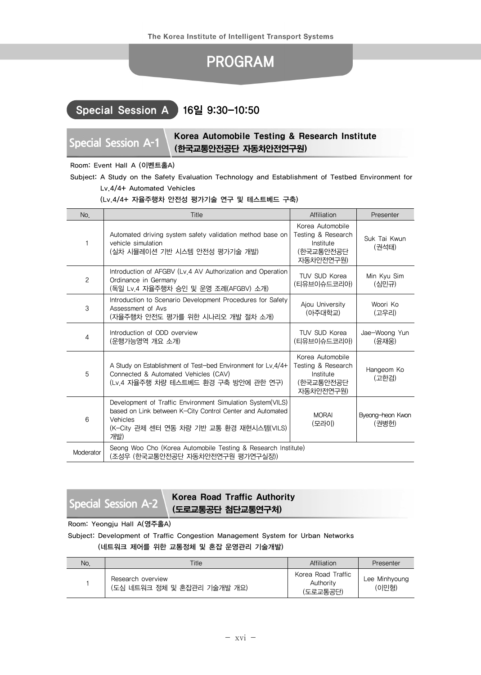# PROGRAM

## Special Session A 16일 9:30-10:50

## **Special Session A-1** Korea Automobile Testing & Research Institute (한국교통안전공단 자동차안전연구원)

### Room: Event Hall A (이벤트홀A)

Subject: A Study on the Safety Evaluation Technology and Establishment of Testbed Environment for Lv.4/4+ Automated Vehicles

### (Lv.4/4+ 자율주행차 안전성 평가기술 연구 및 테스트베드 구축)

| No.       | Title                                                                                                                                                                                  | Affiliation                                                                   | Presenter                 |
|-----------|----------------------------------------------------------------------------------------------------------------------------------------------------------------------------------------|-------------------------------------------------------------------------------|---------------------------|
| 1         | Automated driving system safety validation method base on<br>vehicle simulation<br>(실차 시뮬레이션 기반 시스템 안전성 평가기술 개발)                                                                       | Korea Automobile<br>Testing & Research<br>Institute<br>(한국교통안전공단<br>자동차안전연구원) | Suk Tai Kwun<br>(권석태)     |
| 2         | Introduction of AFGBV (Lv.4 AV Authorization and Operation<br>Ordinance in Germany<br>(독일 Lv.4 자율주행차 승인 및 운영 조례(AFGBV) 소개)                                                             | TUV SUD Korea<br>(티유브이슈드코리아)                                                  | Min Kyu Sim<br>(심민규)      |
| 3         | Introduction to Scenario Development Procedures for Safety<br>Assessment of Avs<br>(자율주행차 안전도 평가를 위한 시나리오 개발 절차 소개)                                                                    | Ajou University<br>(아주대학교)                                                    | Woori Ko<br>(고우리)         |
| 4         | Introduction of ODD overview<br>(운행가능영역 개요 소개)                                                                                                                                         | TUV SUD Korea<br>(티유브이슈드코리아)                                                  | Jae-Woong Yun<br>(윤재웅)    |
| 5         | A Study on Establishment of Test-bed Environment for Lv.4/4+<br>Connected & Automated Vehicles (CAV)<br>(Lv.4 자율주행 차량 테스트베드 환경 구축 방안에 관한 연구)                                           | Korea Automobile<br>Testing & Research<br>Institute<br>(한국교통안전공단<br>자동차안전연구원) | Hangeom Ko<br>(고한검)       |
| 6         | Development of Traffic Environment Simulation System(VILS)<br>based on Link between K-City Control Center and Automated<br>Vehicles<br>(K-City 관제 센터 연동 차량 기반 교통 환경 재현시스템(VILS)<br>개발) | <b>MORAI</b><br>(모라이)                                                         | Byeong-heon Kwon<br>(권병헌) |
| Moderator | Seong Woo Cho (Korea Automobile Testing & Research Institute)<br>(조성우 (한국교통안전공단 자동차안전연구원 평가연구실장))                                                                                      |                                                                               |                           |

## **Special Session A-2** Korea Road Traffic Authority (도로교통공단 첨단교통연구처)

Room: Yeongju Hall A(영주홀A)

Subject: Development of Traffic Congestion Management System for Urban Networks (네트워크 제어를 위한 교통정체 및 혼잡 운영관리 기술개발)

No. No. 2008 and the Matthewski Christian Christian Affiliation (Presenter

| NO. | Litle                                            | Affiliation                                 | Presenter              |
|-----|--------------------------------------------------|---------------------------------------------|------------------------|
|     | Research overview<br>(도심 네트워크 정체 및 혼잡관리 기술개발 개요) | Korea Road Traffic<br>Authority<br>(도로교통공단) | Lee Minhyoung<br>(이민형) |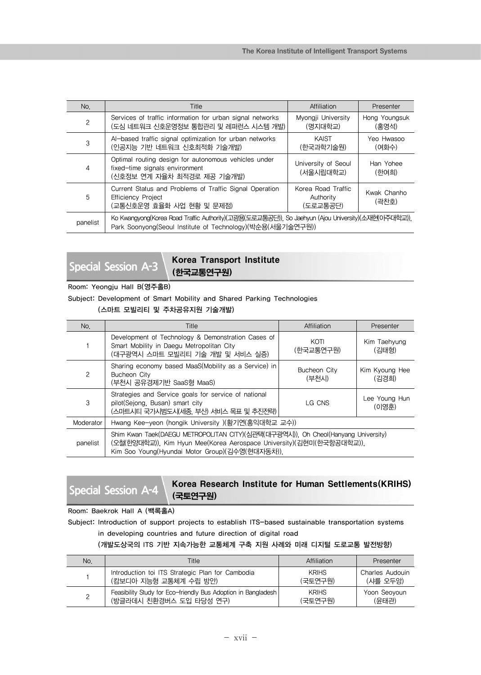| No.          | <b>Title</b>                                                                                                                                                     | Affiliation                                 | Presenter              |
|--------------|------------------------------------------------------------------------------------------------------------------------------------------------------------------|---------------------------------------------|------------------------|
| $\mathbf{2}$ | Services of traffic information for urban signal networks<br>(도심 네트워크 신호운영정보 통합관리 및 레퍼런스 시스템 개발)                                                                 | Myongji University<br>(명지대학교)               | Hong Youngsuk<br>(홍영석) |
| 3            | Al-based traffic signal optimization for urban networks<br>(인공지능 기반 네트워크 신호최적화 기술개발)                                                                             | KAIST<br>(한국과학기술원)                          | Yeo Hwasoo<br>(여화수)    |
| 4            | Optimal routing design for autonomous vehicles under<br>fixed-time signals environment<br>(신호정보 연계 자율차 최적경로 제공 기술개발)                                             | University of Seoul<br>(서울시립대학교)            | Han Yohee<br>(한여희)     |
| 5            | Current Status and Problems of Traffic Signal Operation<br><b>Efficiency Project</b><br>(교통신호운영 효율화 사업 현황 및 문제점)                                                 | Korea Road Traffic<br>Authority<br>(도로교통공단) | Kwak Chanho<br>(곽차호)   |
| panelist     | Ko Kwangyong(Korea Road Traffic Authority)(고광용(도로교통공단)), So Jaehyun (Ajou University)(소재현(아주대학교)),<br>Park Soonyong(Seoul Institute of Technology)(박순용(서울기술연구원)) |                                             |                        |

## **Special Session A-3** Korea Transport Institute (한국교통연구원)

### Room: Yeongju Hall B(영주홀B)

Subject: Development of Smart Mobility and Shared Parking Technologies

(스마트 모빌리티 및 주차공유지원 기술개발)

| No.           | <b>Title</b>                                                                                                                                                                                                 | Affiliation           | Presenter               |
|---------------|--------------------------------------------------------------------------------------------------------------------------------------------------------------------------------------------------------------|-----------------------|-------------------------|
|               | Development of Technology & Demonstration Cases of<br>Smart Mobility in Daegu Metropolitan City<br>(대구광역시 스마트 모빌리티 기술 개발 및 서비스 실증)                                                                           | KOTI<br>(한국교통연구원)     | Kim Taehyung<br>(김태형)   |
| $\mathcal{P}$ | Sharing economy based MaaS(Mobility as a Service) in<br>Bucheon City<br>(부천시 공유경제기반 SaaS형 MaaS)                                                                                                              | Bucheon City<br>(부천시) | Kim Kyoung Hee<br>(김경희) |
| 3             | Strategies and Service goals for service of national<br>pilot(Sejong, Busan) smart city<br>(스마트시티 국가시범도시(세종, 부산) 서비스 목표 및 추진전략)                                                                              | LG CNS                | Lee Young Hun<br>(이영훈)  |
| Moderator     | Hwang Kee-yeon (hongik University )(황기연(홍익대학교 교수))                                                                                                                                                           |                       |                         |
| panelist      | Shim Kwan Taek(DAEGU METROPOLITAN CITY)(심관택(대구광역시)), Oh Cheol(Hanyang University)<br>(오철(한양대학교)), Kim Hyun Mee(Korea Aerospace University)(김현미(한국항공대학교)),<br>Kim Soo Young(Hyundai Motor Group)(김수영(현대자동차)). |                       |                         |

## **Special Session A-4** Korea Research Institute for Human Settlements(KRIHS) (국토연구원)

### Room: Baekrok Hall A (백록홀A)

Subject: Introduction of support projects to establish ITS-based sustainable transportation systems

## in developing countries and future direction of digital road

## (개발도상국의 ITS 기반 지속가능한 교통체계 구축 지원 사례와 미래 디지털 도로교통 발전방향)

| No. | Title                                                         | Affiliation  | Presenter       |
|-----|---------------------------------------------------------------|--------------|-----------------|
|     | Introduction toi ITS Strategic Plan for Cambodia              | <b>KRIHS</b> | Charles Audouin |
|     | (캄보디아 지능형 교통체계 수립 방안)                                         | (국토연구원)      | (샤를 오두앙)        |
|     | Feasibility Study for Eco-friendly Bus Adoption in Bangladesh | <b>KRIHS</b> | Yoon Seoyoun    |
|     | (방글라데시 친환경버스 도입 타당성 연구)                                       | (국토연구원)      | (유태관)           |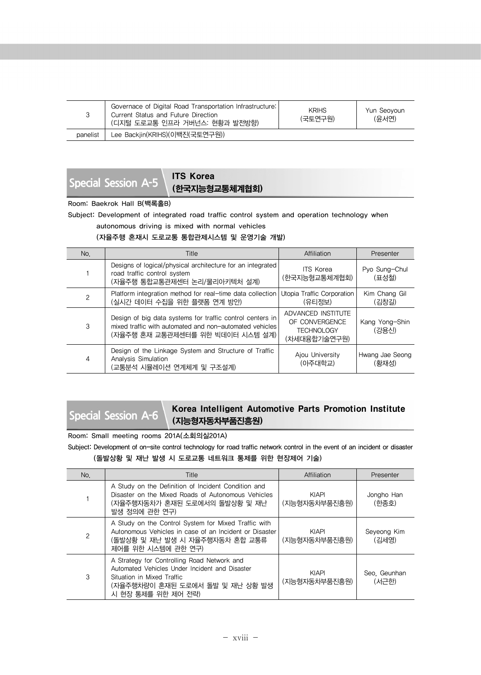|          | Governace of Digital Road Transportation Infrastructure:<br>Current Status and Future Direction<br>(디지털 도로교통 인프라 거버넌스: 현황과 발전방향) | <b>KRIHS</b><br>(국토연구원) | Yun Seovoun<br>(유서연) |
|----------|----------------------------------------------------------------------------------------------------------------------------------|-------------------------|----------------------|
| panelist | Lee Backjin(KRIHS)(이백진(국토연구원))                                                                                                   |                         |                      |

**Special Session A-5 ITS Korea** 

# (한국지능형교통체계협회)

Room: Baekrok Hall B(백록홀B)

Subject: Development of integrated road traffic control system and operation technology when

autonomous driving is mixed with normal vehicles

### (자율주행 혼재시 도로교통 통합관제시스템 및 운영기술 개발)

| No. | <b>Title</b>                                                                                                                                             | Affiliation                                                               | Presenter                |
|-----|----------------------------------------------------------------------------------------------------------------------------------------------------------|---------------------------------------------------------------------------|--------------------------|
|     | Designs of logical/physical architecture for an integrated<br>road traffic control system<br>(자율주행 통합교통관제센터 논리/물리아키텍처 설계)                                | <b>ITS Korea</b><br>(한국지능형교통체계협회)                                         | Pyo Sung-Chul<br>(표성철)   |
| 2   | Platform integration method for real-time data collection<br>(실시간 데이터 수집을 위한 플랫폼 연계 방안)                                                                  | Utopia Traffic Corporation<br>(유티정보)                                      | Kim Chang Gil<br>(김창길)   |
| 3   | Design of big data systems for traffic control centers in<br>mixed traffic with automated and non-automated vehicles<br>(자율주행 혼재 교통관제센터를 위한 빅데이터 시스템 설계) | ADVANCED INSTITUTE<br>OF CONVERGENCE<br><b>TECHNOLOGY</b><br>(차세대융합기술연구원) | Kang Yong-Shin<br>(강용신)  |
| 4   | Design of the Linkage System and Structure of Traffic<br>Analysis Simulation<br>(교통분석 시뮬레이션 연계체계 및 구조설계)                                                 | Ajou University<br>(아주대학교)                                                | Hwang Jae Seong<br>(황재성) |

## Special Session A-6 Korea Intelligent Automotive Parts Promotion Institute (지능형자동차부품진흥원)

Room: Small meeting rooms 201A(소회의실201A)

Subject: Development of on-site control technology for road traffic network control in the event of an incident or disaster (돌발상황 및 재난 발생 시 도로교통 네트워크 통제를 위한 현장제어 기술)

| No. | <b>Title</b>                                                                                                                                                                         | Affiliation                   | Presenter             |
|-----|--------------------------------------------------------------------------------------------------------------------------------------------------------------------------------------|-------------------------------|-----------------------|
|     | A Study on the Definition of Incident Condition and<br>Disaster on the Mixed Roads of Autonomous Vehicles<br>(자율주행자동차가 혼재된 도로에서의 돌발상황 및 재난<br>발생 정의에 관한 연구)                          | <b>KIAPI</b><br>(지능형자동차부품진흥원) | Jongho Han<br>(한종호)   |
| 2   | A Study on the Control System for Mixed Traffic with<br>Autonomous Vehicles in case of an Incident or Disaster<br>(돌발상황 및 재난 발생 시 자율주행자동차 혼합 교통류<br>제어를 위한 시스템에 관한 연구)               | <b>KIAPI</b><br>(지능형자동차부품진흥원) | Seyeong Kim<br>(김세영)  |
| 3   | A Strategy for Controlling Road Network and<br>Automated Vehicles Under Incident and Disaster<br>Situation in Mixed Traffic<br>(자율주행차량이 혼재된 도로에서 돌발 및 재난 상황 발생<br>시 현장 통제를 위한 제어 전략) | <b>KIAPI</b><br>(지능형자동차부품진흥원) | Seo. Geunhan<br>(서구한) |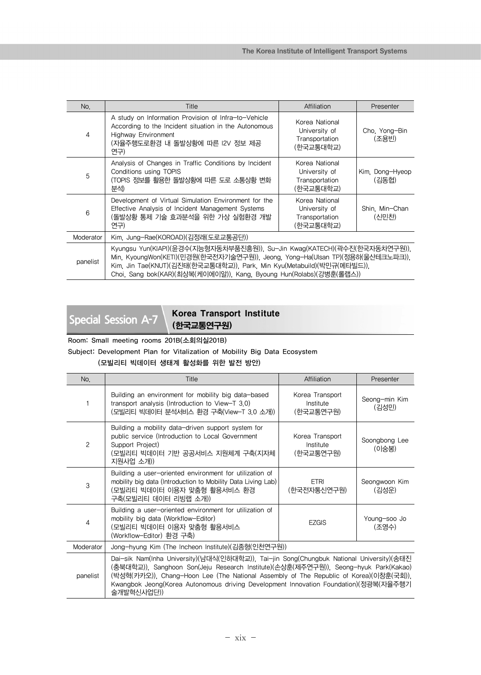| No.       | Title                                                                                                                                                                                                                                                                                                       | Affiliation                                                    | Presenter                |
|-----------|-------------------------------------------------------------------------------------------------------------------------------------------------------------------------------------------------------------------------------------------------------------------------------------------------------------|----------------------------------------------------------------|--------------------------|
| 4         | A study on Information Provision of Infra-to-Vehicle<br>According to the Incident situation in the Autonomous<br><b>Highway Environment</b><br>(자율주행도로환경 내 돌발상황에 따른 I2V 정보 제공<br>연구)                                                                                                                        | Korea National<br>University of<br>Transportation<br>(한국교통대학교) | Cho. Yong-Bin<br>(조용빈)   |
| 5         | Analysis of Changes in Traffic Conditions by Incident<br>Conditions using TOPIS<br>(TOPIS 정보를 활용한 돌발상황에 따른 도로 소통상황 변화<br>분석)                                                                                                                                                                                | Korea National<br>University of<br>Transportation<br>(한국교통대학교) | Kim, Dong-Hyeop<br>(김동협) |
| 6         | Development of Virtual Simulation Environment for the<br>Effective Analysis of Incident Management Systems<br>(돌발상황 통제 기술 효과분석을 위한 가상 실험환경 개발<br>연구)                                                                                                                                                        | Korea National<br>University of<br>Transportation<br>(한국교통대학교) | Shin. Min-Chan<br>(신민찬)  |
| Moderator | Kim, Jung-Rae(KOROAD)(김정래(도로교통공단))                                                                                                                                                                                                                                                                          |                                                                |                          |
| panelist  | Kyungsu Yun(KIAPI)(윤경수(지능형자동차부품진흥원)), Su-Jin Kwag(KATECH)(곽수진(한국자동차연구원)),<br>Min, KyoungWon(KETI)(민경원(한국전자기술연구원)), Jeong, Yong-Ha(Ulsan TP)(정용하(울산테크노파크)),<br>Kim, Jin Tae(KNUT)(김진태(한국교통대학교)), Park, Min Kyu(Metabuild)(박민규(메타빌드)),<br>Choi, Sang bok(KAR)(최상복(케이에이알)), Kang, Byoung Hun(Rolabs)(강병훈(롤랩스)) |                                                                |                          |

## **Special Session A-7** Korea Transport Institute (한국교통연구원)

Room: Small meeting rooms 201B(소회의실201B)

Subject: Development Plan for Vitalization of Mobility Big Data Ecosystem

(모빌리티 빅데이터 생태계 활성화를 위한 발전 방안)

| No.          | <b>Title</b>                                                                                                                                                                                                                                                                                                                                                                   | Affiliation                               | Presenter              |
|--------------|--------------------------------------------------------------------------------------------------------------------------------------------------------------------------------------------------------------------------------------------------------------------------------------------------------------------------------------------------------------------------------|-------------------------------------------|------------------------|
|              | Building an environment for mobility big data-based<br>transport analysis (Introduction to View-T 3.0)<br>(모빌리티 빅데이터 분석서비스 환경 구축(View-T 3.0 소개))                                                                                                                                                                                                                               | Korea Transport<br>Institute<br>(한국교통연구원) | Seong-min Kim<br>(김성민) |
| $\mathbf{2}$ | Building a mobility data-driven support system for<br>public service (Introduction to Local Government<br>Support Project)<br>(모빌리티 빅데이터 기반 공공서비스 지원체계 구축(지자체<br>지원사업 소개))                                                                                                                                                                                                     | Korea Transport<br>Institute<br>(한국교통연구원) | Soongbong Lee<br>(이숭봉) |
| 3            | Building a user-oriented environment for utilization of<br>mobility big data (Introduction to Mobility Data Living Lab)<br>(모빌리티 빅데이터 이용자 맞춤형 활용서비스 환경<br>구축(모빌리티 데이터 리빙랩 소개))                                                                                                                                                                                                 | <b>ETRI</b><br>(한국전자통신연구원)                | Seongwoon Kim<br>(김성운) |
| 4            | Building a user-oriented environment for utilization of<br>mobility big data (Workflow-Editor)<br>(모빌리티 빅데이터 이용자 맞춤형 활용서비스<br>(Workflow-Editor) 환경 구축)                                                                                                                                                                                                                         | <b>EZGIS</b>                              | Young-soo Jo<br>(조영수)  |
| Moderator    | Jong-hyung Kim (The Incheon Institute)(김종형(인천연구원))                                                                                                                                                                                                                                                                                                                             |                                           |                        |
| panelist     | Dai-sik Nam(Inha University)(남대식(인하대학교)), Tai-jin Song(Chungbuk National University)(송태진<br>(충북대학교)), Sanghoon Son(Jeju Research Institute)(손상훈(제주연구원)), Seong-hyuk Park(Kakao)<br>(박성혁(카카오)), Chang-Hoon Lee (The National Assembly of The Republic of Korea)(이창훈(국회)),<br>Kwangbok Jeong(Korea Autonomous driving Development Innovation Foundation)(정광복(자율주행기<br>술개발혁신사업단)) |                                           |                        |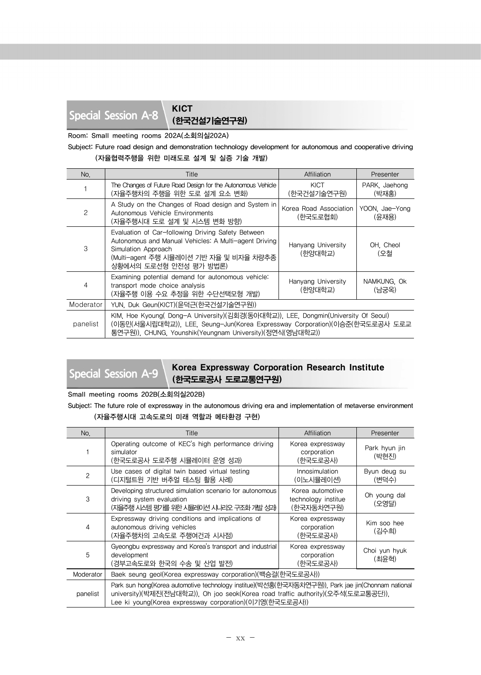# **Special Session A-8** KICT

(한국건설기술연구원)

Room: Small meeting rooms 202A(소회의실202A)

Subject: Future road design and demonstration technology development for autonomous and cooperative driving

(자율협력주행을 위한 미래도로 설계 및 실증 기술 개발)

| No.            | Title                                                                                                                                                                                                                         | Affiliation                        | Presenter               |
|----------------|-------------------------------------------------------------------------------------------------------------------------------------------------------------------------------------------------------------------------------|------------------------------------|-------------------------|
|                | The Changes of Future Road Design for the Autonomous Vehicle<br>(자율주행차의 주행을 위한 도로 설계 요소 변화)                                                                                                                                   | KICT<br>(한국건설기술연구원)                | PARK, Jaehong<br>(박재홍)  |
| $\overline{c}$ | A Study on the Changes of Road design and System in<br>Autonomous Vehicle Environments<br>(자율주행시대 도로 설계 및 시스템 변화 방향)                                                                                                          | Korea Road Association<br>(한국도로협회) | YOON, Jae-Yong<br>(윤재용) |
| 3              | Evaluation of Car-following Driving Safety Between<br>Autonomous and Manual Vehicles: A Multi-agent Driving<br>Simulation Approach<br>(Multi-agent 주행 시뮬레이션 기반 자율 및 비자율 차량추종<br>상황에서의 도로선형 안전성 평가 방법론)                        | Hanyang University<br>(한양대학교)      | OH. Cheol<br>(오철        |
| 4              | Examining potential demand for autonomous vehicle:<br>transport mode choice analysis<br>(자율주행 이용 수요 추정을 위한 수단선택모형 개발)                                                                                                         | Hanyang University<br>(한양대학교)      | NAMKUNG OK<br>(남궁옥)     |
| Moderator      | YUN, Duk Geun(KICT)(윤덕근(한국건설기술연구원))                                                                                                                                                                                           |                                    |                         |
| panelist       | KIM, Hoe Kyoung( Dong-A University)(김회경(동아대학교)), LEE, Dongmin(University Of Seoul)<br>(이동민(서울시립대학교)), LEE, Seung-Jun(Korea Expressway Corporation)(이승준(한국도로공사 도로교<br>통연구원)), CHUNG, Younshik(Yeungnam University)(정연식(영남대학교)) |                                    |                         |

## **Special Session A-9** Korea Expressway Corporation Research Institute (한국도로공사 도로교통연구원)

Small meeting rooms 202B(소회의실202B)

Subject: The future role of expressway in the autonomous driving era and implementation of metaverse environment (자율주행시대 고속도로의 미래 역할과 메타환경 구현)

| No.            | Title                                                                                                                                                                                                                                            | Affiliation                                           | Presenter              |
|----------------|--------------------------------------------------------------------------------------------------------------------------------------------------------------------------------------------------------------------------------------------------|-------------------------------------------------------|------------------------|
|                | Operating outcome of KEC's high performance driving<br>simulator<br>(한국도로공사 도로주행 시뮬레이터 운영 성과)                                                                                                                                                    | Korea expressway<br>corporation<br>(한국도로공사)           | Park hyun jin<br>(박현진) |
| $\overline{c}$ | Use cases of digital twin based virtual testing<br>(디지털트윈 기반 버추얼 테스팅 활용 사례)                                                                                                                                                                      | Innosimulation<br>(이노시뮬레이션)                           | Byun deug su<br>(변덕수)  |
| 3              | Developing structured simulation scenario for autonomous<br>driving system evaluation<br>(자율주행 시스템 평가를 위한 시뮬레이션 시나리오 구조화 개발 성과)                                                                                                                  | Korea automotive<br>technology institue<br>(한국자동차연구원) | Oh young dal<br>(오영달)  |
| 4              | Expressway driving conditions and implications of<br>autonomous driving vehicles<br>(자율주행차의 고속도로 주행여건과 시사점)                                                                                                                                      | Korea expressway<br>corporation<br>(한국도로공사)           | Kim soo hee<br>(김수희)   |
| 5              | Gyeongbu expressway and Korea's transport and industrial<br>development<br>(경부고속도로와 한국의 수송 및 산업 발전)                                                                                                                                              | Korea expressway<br>corporation<br>(한국도로공사)           | Choi yun hyuk<br>(최윤혁) |
| Moderator      | Baek seung geol(Korea expressway corporation)(백승걸(한국도로공사))                                                                                                                                                                                       |                                                       |                        |
| panelist       | Park sun hong(Korea automotive technology institue)(박선홍(한국자동차연구원)), Park jae jin(Chonnam national<br>university)(박제진(전남대학교)), Oh joo seok(Korea road traffic authority)(오주석(도로교통공단)),<br>Lee ki young(Korea expressway corporation)(이기영(한국도로공사)) |                                                       |                        |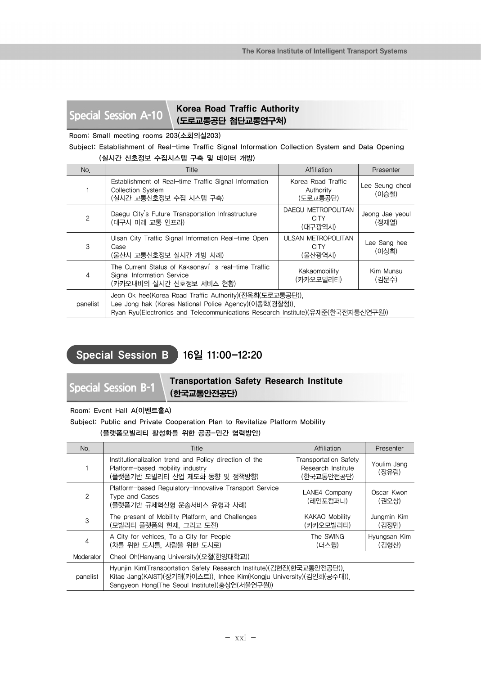## **Special Session A-10** Korea Road Traffic Authority (도로교통공단 첨단교통연구처)

Room: Small meeting rooms 203(소회의실203)

Subject: Establishment of Real-time Traffic Signal Information Collection System and Data Opening (실시간 신호정보 수집시스템 구축 및 데이터 개방)

|              | \E`IL L <del>I</del> U= I B`I—U                                                                                                                                                                      |                                                     |                          |
|--------------|------------------------------------------------------------------------------------------------------------------------------------------------------------------------------------------------------|-----------------------------------------------------|--------------------------|
| No.          | <b>Title</b>                                                                                                                                                                                         | Affiliation                                         | Presenter                |
|              | Establishment of Real-time Traffic Signal Information<br><b>Collection System</b><br>(실시간 교통신호정보 수집 시스템 구축)                                                                                          | Korea Road Traffic<br>Authority<br>(도로교통공단)         | Lee Seung cheol<br>(이승철) |
| $\mathbf{2}$ | Daegu City's Future Transportation Infrastructure<br>(대구시 미래 교통 인프라)                                                                                                                                 | DAEGU METROPOLITAN<br><b>CITY</b><br>(대구광역시)        | Jeong Jae yeoul<br>(정재열) |
| 3            | Ulsan City Traffic Signal Information Real-time Open<br>Case<br>(울산시 교통신호정보 실시간 개방 사례)                                                                                                               | <b>ULSAN METROPOLITAN</b><br><b>CITY</b><br>(울산광역시) | Lee Sang hee<br>(이상희)    |
| 4            | The Current Status of Kakaonavi's real-time Traffic<br>Signal Information Service<br>(카카오내비의 실시간 신호정보 서비스 현황)                                                                                        | Kakaomobility<br>(카카오모빌리티)                          | Kim Munsu<br>(김문수)       |
| panelist     | Jeon Ok hee(Korea Road Traffic Authority)(전옥희(도로교통공단)),<br>Lee Jong hak (Korea National Police Agency)(이종학(경찰청)),<br>Ryan Ryu(Electronics and Telecommunications Research Institute)(유재준(한국전자통신연구원)) |                                                     |                          |

## Special Session B 16일 11:00-12:20

**Special Session B-1** Transportation Safety Research Institute (한국교통안전공단)

Room: Event Hall A(이벤트홀A)

Subject: Public and Private Cooperation Plan to Revitalize Platform Mobility (플랫폼모빌리티 활성화를 위한 공공-민간 협력방안)

| No.       | Title                                                                                                                                                                                            | Affiliation                                                      | Presenter             |
|-----------|--------------------------------------------------------------------------------------------------------------------------------------------------------------------------------------------------|------------------------------------------------------------------|-----------------------|
|           | Institutionalization trend and Policy direction of the<br>Platform-based mobility industry<br>(플랫폼기반 모빌리티 산업 제도화 동향 및 정책방향)                                                                      | <b>Transportation Safety</b><br>Research Institute<br>(한국교통안전공단) | Youlim Jang<br>(장유림)  |
| 2         | Platform-based Regulatory-Innovative Transport Service<br>Type and Cases<br>(플랫폼기반 규제혁신형 운송서비스 유형과 사례)                                                                                           | LANE4 Company<br>(레인포컴퍼니)                                        | Oscar Kwon<br>(권오상)   |
| 3         | The present of Mobility Platform, and Challenges<br>(모빌리티 플랫폼의 현재, 그리고 도전)                                                                                                                       | <b>KAKAO Mobility</b><br>(카카오모빌리티)                               | Jungmin Kim<br>(김정민)  |
| 4         | A City for vehices. To a City for People<br>(차를 위한 도시를, 사람을 위한 도시로)                                                                                                                              | The SWING<br>(더스윙)                                               | Hyungsan Kim<br>(김형산) |
| Moderator | Cheol Oh(Hanyang University)(오철(한양대학교))                                                                                                                                                          |                                                                  |                       |
| panelist  | Hyunjin Kim(Transportation Safety Research Institute)(김현진(한국교통안전공단)).<br>Kitae Jang(KAIST)(장기태(카이스트)), Inhee Kim(Kongju University)(김인희(공주대)),<br>Sangyeon Hong(The Seoul Institute)(홍상연(서울연구원)) |                                                                  |                       |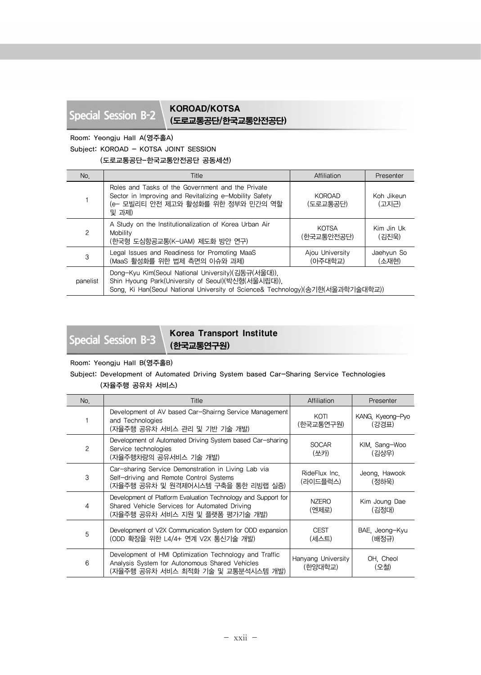## **Special Session B-2** KOROAD/KOTSA (도로교통공단/한국교통안전공단)

Room: Yeongju Hall A(영주홀A)

Subject: KOROAD - KOTSA JOINT SESSION

(도로교통공단-한국교통안전공단 공동세션)

| No.           | Title                                                                                                                                                                                      | Affiliation                | Presenter           |
|---------------|--------------------------------------------------------------------------------------------------------------------------------------------------------------------------------------------|----------------------------|---------------------|
|               | Roles and Tasks of the Government and the Private<br>Sector in Improving and Revitalizing e-Mobility Safety<br>(e- 모빌리티 안전 제고와 활성화를 위한 정부와 민간의 역할<br>및 과제)                                 | <b>KOROAD</b><br>(도로교통공단)  | Koh Jikeun<br>(고지근) |
| $\mathcal{P}$ | A Study on the Institutionalization of Korea Urban Air<br>Mobility<br>(한국형 도심항공교통(K-UAM) 제도화 방안 연구)                                                                                        | <b>KOTSA</b><br>(한국교통안전공단) | Kim Jin Uk<br>(김진욱) |
| 3             | Legal Issues and Readiness for Promoting MaaS<br>(MaaS 활성화를 위한 법제 측면의 이슈와 과제)                                                                                                              | Ajou University<br>(아주대학교) | Jaehyun So<br>(소재현) |
| panelist      | Dong-Kyu Kim(Seoul National University)(김동규(서울대)).<br>Shin Hyoung Park(University of Seoul)(박신형(서울시립대)),<br>Song, Ki Han(Seoul National University of Science& Technology)(송기한(서울과학기술대학교)) |                            |                     |

## **Special Session B-3** Korea Transport Institute (한국교통연구원)

Room: Yeongju Hall B(영주홀B)

## Subject: Development of Automated Driving System based Car-Sharing Service Technologies

| No. | <b>Title</b>                                                                                                                                      | Affiliation                   | Presenter                 |
|-----|---------------------------------------------------------------------------------------------------------------------------------------------------|-------------------------------|---------------------------|
|     | Development of AV based Car-Shairng Service Management<br>and Technologies<br>(자율주행 공유차 서비스 관리 및 기반 기술 개발)                                        | KOTI<br>(한국교통연구원)             | KANG, Kyeong-Pyo<br>(강경표) |
| 2   | Development of Automated Driving System based Car-sharing<br>Service technologies<br>(자율주행차량의 공유서비스 기술 개발)                                        | <b>SOCAR</b><br>(쏘카)          | KIM, Sang-Woo<br>(김상우)    |
| 3   | Car-sharing Service Demonstration in Living Lab via<br>Self-driving and Remote Control Systems<br>(자율주행 공유차 및 원격제어시스템 구축을 통한 리빙랩 실증)              | RideFlux Inc.<br>(라이드플럭스)     | Jeong, Hawook<br>(정하욱)    |
| 4   | Development of Platform Evaluation Technology and Support for<br>Shared Vehicle Services for Automated Driving<br>(자율주행 공유차 서비스 지원 및 플랫폼 평가기술 개발) | <b>NZERO</b><br>(엔제로)         | Kim Joung Dae<br>(김정대)    |
| 5   | Development of V2X Communication System for ODD expansion<br>(ODD 확장을 위한 L4/4+ 연계 V2X 통신기술 개발)                                                    | <b>CEST</b><br>(세스트)          | BAE, Jeong-Kyu<br>(배정규)   |
| 6   | Development of HMI Optimization Technology and Traffic<br>Analysis System for Autonomous Shared Vehicles<br>(자율주행 공유차 서비스 최적화 기술 및 교통분석시스템 개발)    | Hanyang University<br>(한양대학교) | OH. Cheol<br>(오철)         |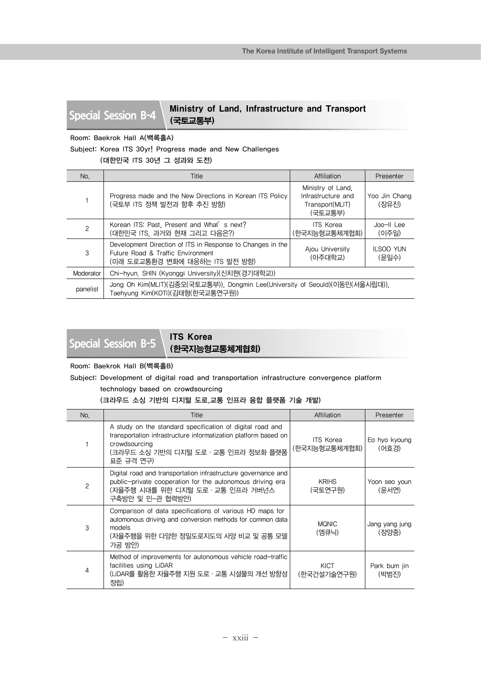Special Session B-4 | Ministry of Land, Infrastructure and Transport (국토교통부)

Room: Baekrok Hall A(백록홀A)

Subject: Korea ITS 30yr! Progress made and New Challenges

(대한민국 ITS 30년 그 성과와 도전)

| No.            | <b>Title</b>                                                                                                                      | Affiliation                                                           | Presenter                 |
|----------------|-----------------------------------------------------------------------------------------------------------------------------------|-----------------------------------------------------------------------|---------------------------|
|                | Progress made and the New Directions in Korean ITS Policy<br>(국토부 ITS 정책 발전과 향후 추진 방향)                                            | Ministry of Land.<br>Infrastructure and<br>Transport(MLIT)<br>(국토교통부) | Yoo Jin Chang<br>(장유진)    |
| $\overline{c}$ | Korean ITS: Past, Present and What's next?<br>(대한민국 ITS, 과거와 현재 그리고 다음은?)                                                         | <b>ITS Korea</b><br>(한국지능형교통체계협회)                                     | Joo-II Lee<br>(이주일)       |
| 3              | Development Direction of ITS in Response to Changes in the<br>Future Road & Traffic Environment<br>(미래 도로교통환경 변화에 대응하는 ITS 발전 방향) | Aiou University<br>(아주대학교)                                            | <b>ILSOO YUN</b><br>(유일수) |
| Moderator      | Chi-hyun, SHIN (Kyonggi University)(신치현(경기대학교))                                                                                   |                                                                       |                           |
| panelist       | Jong Oh Kim(MLIT)(김종오(국토교통부)), Dongmin Lee(University of Seould)(이동민(서울시립대)),<br>Taehyung Kim(KOTI)(김태형(한국교통연구원))                 |                                                                       |                           |

**Special Session B-5** | **ITS Korea** 

(한국지능형교통체계협회)

## Room: Baekrok Hall B(백록홀B)

Subject: Development of digital road and transportation infrastructure convergence platform

technology based on crowdsourcing

## (크라우드 소싱 기반의 디지털 도로,교통 인프라 융합 플랫폼 기술 개발)

| No.            | Title                                                                                                                                                                                              | Affiliation                       | Presenter               |
|----------------|----------------------------------------------------------------------------------------------------------------------------------------------------------------------------------------------------|-----------------------------------|-------------------------|
|                | A study on the standard specification of digital road and<br>transportation infrastructure informatization platform based on<br>crowdsourcing<br>(크라우드 소싱 기반의 디지털 도로 · 교통 인프라 정보화 플랫폼<br>표준 규격 연구) | <b>ITS Korea</b><br>(한국지능형교통체계협회) | Eo hyo kyoung<br>(어효경)  |
| $\overline{c}$ | Digital road and transportation infrastructure governance and<br>public-private cooperation for the autonomous driving era<br>(자율주행 시대를 위한 디지털 도로·교통 인프라 거버넌스<br>구축방안 및 민-관 협력방안)                  | <b>KRIHS</b><br>(국토연구원)           | Yoon seo youn<br>(윤서연)  |
| 3              | Comparison of data specifications of various HD maps for<br>automonous driving and conversion methods for common data<br>models<br>(자율주행을 위한 다양한 정밀도로지도의 사양 비교 및 공통 모델<br>가공 방안)                   | <b>MQNIC</b><br>(엠큐닉)             | Jang yang jung<br>(장양중) |
| 4              | Method of improvements for autonomous vehicle road-traffic<br>facilities using LiDAR<br>(LiDAR를 활용한 지율주행 지원 도로 · 교통 시설물의 개선 방향성  <br>정립)                                                           | KICT<br>(한국건설기술연구원)               | Park bum jin<br>(박범진)   |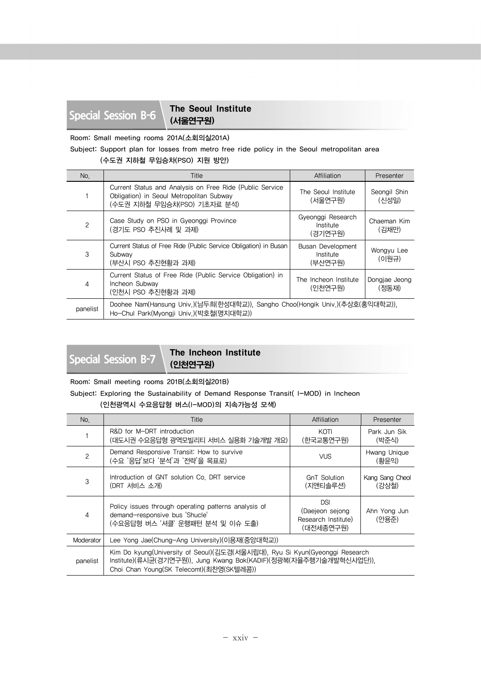**Special Session B-6** The Seoul Institute (서울연구원)

Room: Small meeting rooms 201A(소회의실201A)

Subject: Support plan for losses from metro free ride policy in the Seoul metropolitan area

## (수도권 지하철 무임승차(PSO) 지원 방안)

| No.      | Title                                                                                                                               | Affiliation                               | Presenter              |
|----------|-------------------------------------------------------------------------------------------------------------------------------------|-------------------------------------------|------------------------|
|          | Current Status and Analysis on Free Ride (Public Service<br>Obligation) in Seoul Metropolitan Subway<br>(수도권 지하철 무임승차(PSO) 기초자료 분석) | The Seoul Institute<br>(서울연구원)            | Seongil Shin<br>(신성일)  |
| 2        | Case Study on PSO in Gyeonggi Province<br>(경기도 PSO 추진사례 및 과제)                                                                       | Gyeonggi Research<br>Institute<br>(경기연구원) | Chaeman Kim<br>(김채만)   |
| 3        | Current Status of Free Ride (Public Service Obligation) in Busan<br>Subway<br>(부산시 PSO 추진현황과 과제)                                    | Busan Development<br>Institute<br>(부사연구원) | Wongyu Lee<br>(이원규)    |
| 4        | Current Status of Free Ride (Public Service Obligation) in<br>Incheon Subway<br>(인천시 PSO 추진현황과 과제)                                  | The Incheon Institute<br>(인천연구원)          | Dongjae Jeong<br>(정동재) |
| panelist | Doohee Nam(Hansung Univ.)(남두희(한성대학교)), Sangho Choo(Hongik Univ.)(추상호(홍익대학교)),<br>Ho-Chul Park(Myongji Univ.)(박호철(명지대학교))            |                                           |                        |

## **Special Session B-7** The Incheon Institute (인천연구원)

Room: Small meeting rooms 201B(소회의실201B)

Subject: Exploring the Sustainability of Demand Response Transit( I-MOD) in Incheon (인천광역시 수요응답형 버스(I-MOD)의 지속가능성 모색)

| No.            | Title                                                                                                                                                                                         | Affiliation                                                       | Presenter                |
|----------------|-----------------------------------------------------------------------------------------------------------------------------------------------------------------------------------------------|-------------------------------------------------------------------|--------------------------|
|                | R&D for M-DRT introduction<br>(대도시권 수요응답형 광역모빌리티 서비스 실용화 기술개발 개요)                                                                                                                             | KOTI<br>(한국교통연구원)                                                 | Park Jun Sik<br>(박준식)    |
| $\overline{c}$ | Demand Responsive Transit: How to survive<br>(수요 '응답'보다 '분석'과 '전략'을 목표로)                                                                                                                      | <b>VUS</b>                                                        | Hwang Unique<br>(황윤익)    |
| 3              | Introduction of GNT solution Co. DRT service<br>(DRT 서비스 소개)                                                                                                                                  | <b>GnT Solution</b><br>(지앤티솔루션)                                   | Kang Sang Cheol<br>(강상철) |
| 4              | Policy issues through operating patterns analysis of<br>demand-responsive bus 'Shucle'<br>(수요응답형 버스 '셔클' 운행패턴 분석 및 이슈 도출)                                                                     | <b>DSI</b><br>(Daejeon sejong<br>Research Institute)<br>(대전세종연구원) | Ahn Yong Jun<br>(안용준)    |
| Moderator      | Lee Yong Jae(Chung-Ang University)(이용재(중앙대학교))                                                                                                                                                |                                                                   |                          |
| panelist       | Kim Do kyung(University of Seoul)(김도경(서울시립대), Ryu Si Kyun(Gyeonggi Research<br>Institute)(류시균(경기연구원)), Jung Kwang Bok(KADIF)(정광복(자율주행기술개발혁신사업단)),<br>Choi Chan Young(SK Telecomt)(최찬영(SK텔레콤)) |                                                                   |                          |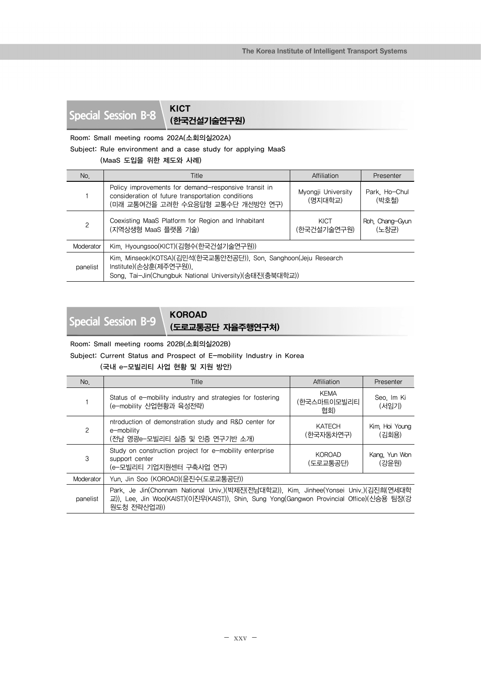# **Special Session B-8** KICT

(한국건설기술연구원)

Room: Small meeting rooms 202A(소회의실202A)

Subject: Rule environment and a case study for applying MaaS

## (MaaS 도입을 위한 제도와 사례)

| No.       | Title                                                                                                                                                 | Affiliation                   | Presenter                |
|-----------|-------------------------------------------------------------------------------------------------------------------------------------------------------|-------------------------------|--------------------------|
|           | Policy improvements for demand-responsive transit in<br>consideration of future transportation conditions<br>(미래 교통여건을 고려한 수요응답형 교통수단 개선방안 연구)        | Myongji University<br>(명지대학교) | Park, Ho-Chul<br>(박호철)   |
| 2         | Coexisting MaaS Platform for Region and Inhabitant<br>(지역상생형 MaaS 플랫폼 기술)                                                                             | KICT<br>(한국건설기술연구원)           | Roh, Chang-Gyun<br>(노창규) |
| Moderator | Kim, Hyoungsoo(KICT)(김형수(한국건설기술연구원))                                                                                                                  |                               |                          |
| panelist  | Kim, Minseok(KOTSA)(김민석(한국교통안전공단)), Son, Sanghoon(Jeju Research<br>Institute)(손상훈(제주연구원)).<br>Song, Tai-Jin(Chungbuk National University)(송태진(충북대학교)) |                               |                          |

**Special Session B-9** KOROAD

# (도로교통공단 자율주행연구처)

Room: Small meeting rooms 202B(소회의실202B)

Subject: Current Status and Prospect of E-mobility Industry in Korea

### (국내 e-모빌리티 사업 현황 및 지원 방안)

| No.       | Title                                                                                                                                                                                            | Affiliation                       | Presenter               |
|-----------|--------------------------------------------------------------------------------------------------------------------------------------------------------------------------------------------------|-----------------------------------|-------------------------|
|           | Status of e-mobility industry and strategies for fostering<br>(e-mobility 산업현황과 육성전략)                                                                                                            | <b>KEMA</b><br>(한국스마트이모빌리티<br>협회) | Seo, Im Ki<br>(서임기)     |
| 2         | ntroduction of demonstration study and R&D center for<br>e-mobility<br>(전남 영광e-모빌리티 실증 및 인증 연구기반 소개)                                                                                             | <b>KATECH</b><br>(한국자동차연구)        | Kim, Hoi Young<br>(김회용) |
| 3         | Study on construction project for e-mobility enterprise<br>support center<br>(e-모빌리티 기업지원센터 구축사업 연구)                                                                                             | <b>KOROAD</b><br>(도로교통공단)         | Kang, Yun Won<br>(강윤원)  |
| Moderator | Yun. Jin Soo (KOROAD)(윤진수(도로교통공단))                                                                                                                                                               |                                   |                         |
| panelist  | Park, Je Jin(Chonnam National Univ.)(박제진(전남대학교)), Kim, Jinhee(Yonsei Univ.)(김진희(연세대학<br>교)), Lee, Jin Woo(KAIST)(이진우(KAIST)), Shin, Sung Yong(Gangwon Provincial Office)(신승용 팀장(강<br>원도청 전략산업과)) |                                   |                         |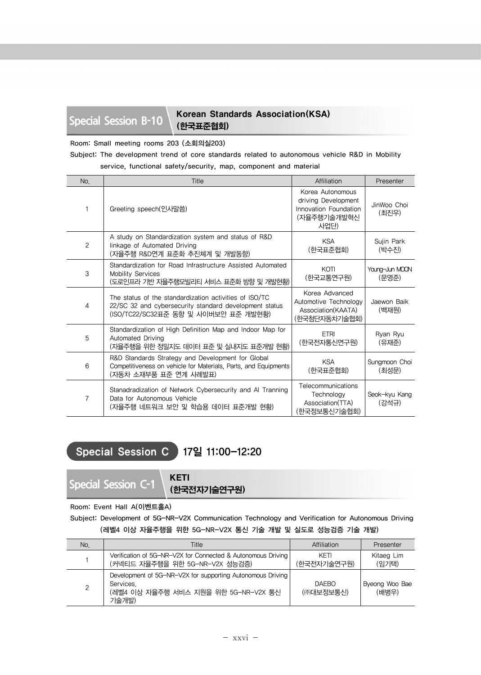## Special Session B-10 Korean Standards Association(KSA) (한국표준협회)

Room: Small meeting rooms 203 (소회의실203)

## Subject: The development trend of core standards related to autonomous vehicle R&D in Mobility service, functional safety/security, map, component and material

| No.            | Title                                                                                                                                                    | Affiliation                                                                             | Presenter               |
|----------------|----------------------------------------------------------------------------------------------------------------------------------------------------------|-----------------------------------------------------------------------------------------|-------------------------|
|                | Greeting speech(인사말씀)                                                                                                                                    | Korea Autonomous<br>driving Development<br>Innovation Foundation<br>(자율주행기술개발혁신<br>사업단) | JinWoo Choi<br>(최진우)    |
| $\overline{c}$ | A study on Standardization system and status of R&D<br>linkage of Automated Driving<br>(자율주행 R&D연계 표준화 추진쳬계 및 개발동향)                                      | <b>KSA</b><br>(한국표준협회)                                                                  | Sujin Park<br>(박수진)     |
| 3              | Standardization for Road Infrastructure Assisted Automated<br>Mobility Services<br>(도로인프라 기반 자율주행모빌리티 서비스 표준화 방향 및 개발현황)                                 | KOTI<br>(한국교통연구원)                                                                       | Young-Jun MOON<br>(문영준) |
| 4              | The status of the standardization activities of ISO/TC<br>22/SC 32 and cybersecurity standard development status<br>(ISO/TC22/SC32표준 동향 및 사이버보안 표준 개발현황) | Korea Advanced<br>Automotive Technology<br>Association(KAATA)<br>(한국첨단자동차기술협회)          | Jaewon Baik<br>(백재원)    |
| 5              | Standardization of High Definition Map and Indoor Map for<br>Automated Driving<br>(자율주행을 위한 정밀지도 데이터 표준 및 실내지도 표준개발 현황)                                  | <b>FTRI</b><br>(한국전자통신연구원)                                                              | Ryan Ryu<br>(유재주)       |
| 6              | R&D Standards Strategy and Development for Global<br>Competitiveness on vehicle for Materials, Parts, and Equipments<br>(자동차 소재부품 표준 연계 사례발표)            | <b>KSA</b><br>(한국표준협회)                                                                  | Sungmoon Choi<br>(최성문)  |
| $\overline{7}$ | Stanadradization of Network Cybersecurity and AI Tranning<br>Data for Autonomous Vehicle<br>(자율주행 네트워크 보안 및 학습용 데이터 표준개발 현황)                             | Telecommunications<br>Technology<br>Association(TTA)<br>(한국정보통신기술협회)                    | Seok-kyu Kang<br>(강석규)  |

## Special Session C 17일 11:00-12:20

**Special Session C-1** KETI

(한국전자기술연구원)

## Room: Event Hall A(이벤트홀A)

Subject: Development of 5G-NR-V2X Communication Technology and Verification for Autonomous Driving (레벨4 이상 자율주행을 위한 5G-NR-V2X 통신 기술 개발 및 실도로 성능검증 기술 개발)

| No. | Title                                                                                                                    | Affiliation               | Presenter               |
|-----|--------------------------------------------------------------------------------------------------------------------------|---------------------------|-------------------------|
|     | Verification of 5G-NR-V2X for Connected & Autonomous Driving<br>(커넥티드 자율주행을 위한 5G-NR-V2X 성능검증)                           | KFTI<br>(한국전자기술연구원)       | Kitaeg Lim<br>(임기택)     |
| 2   | Development of 5G-NR-V2X for supporting Autonomous Driving<br>Services.<br>(레벨4 이상 자율주행 서비스 지원을 위한 5G-NR-V2X 통신<br>기술개발) | <b>DAFBO</b><br>(㈜대보정보통신) | Byeong Woo Bae<br>(배병우) |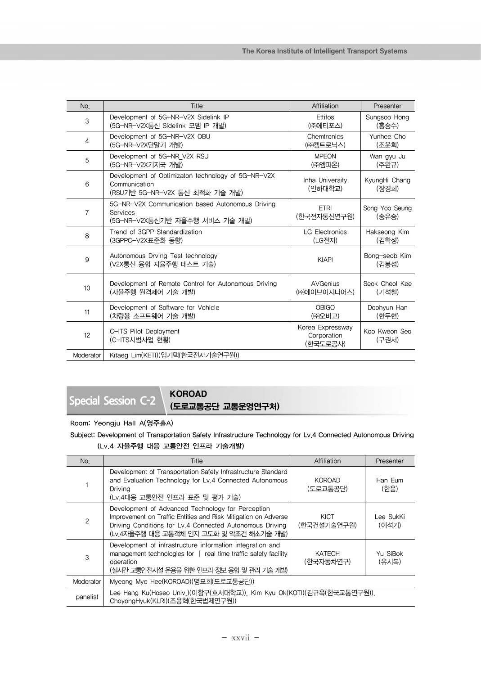| No.            | Title                                                                                                 | Affiliation                                 | Presenter               |
|----------------|-------------------------------------------------------------------------------------------------------|---------------------------------------------|-------------------------|
| 3              | Development of 5G-NR-V2X Sidelink IP                                                                  | Ettifos                                     | Sungsoo Hong            |
|                | (5G-NR-V2X통신 Sidelink 모뎀 IP 개발)                                                                       | (㈜에티포스)                                     | (홍승수)                   |
| $\overline{4}$ | Development of 5G-NR-V2X OBU                                                                          | Chemtronics                                 | Yunhee Cho              |
|                | (5G-NR-V2X단말기 개발)                                                                                     | (㈜켐트로닉스)                                    | (조윤희)                   |
| 5              | Development of 5G-NR_V2X RSU                                                                          | <b>MPEON</b>                                | Wan gyu Ju              |
|                | (5G-NR-V2X기지국 개발)                                                                                     | (㈜엠피온)                                      | (주완규)                   |
| 6              | Development of Optimizaton technology of 5G-NR-V2X<br>Communication<br>(RSU기반 5G-NR-V2X 통신 최적화 기술 개발) | Inha University<br>(인하대학교)                  | KyungHi Chang<br>(장경희)  |
| $\overline{7}$ | 5G-NR-V2X Communication based Autonomous Driving<br>Services<br>(5G-NR-V2X통신기반 자율주행 서비스 기술 개발)        | <b>FTRI</b><br>(한국전자통신연구원)                  | Song Yoo Seung<br>(송유승) |
| 8              | Trend of 3GPP Standardization                                                                         | <b>LG Electronics</b>                       | Hakseong Kim            |
|                | (3GPPC-V2X표준화 동향)                                                                                     | (LG전자)                                      | (김학성)                   |
| 9              | Autonomous Drving Test technology<br>(V2X통신 융합 자율주행 테스트 기술)                                           | <b>KIAPI</b>                                | Bong-seob Kim<br>(김봉섭)  |
| 10             | Development of Remote Control for Autonomous Driving                                                  | <b>AVGenius</b>                             | Seok Cheol Kee          |
|                | (자율주행 원격제어 기술 개발)                                                                                     | (㈜에이브이지니어스)                                 | (기석철)                   |
| 11             | Development of Software for Vehicle                                                                   | <b>OBIGO</b>                                | Doohyun Han             |
|                | (차량용 소프트웨어 기술 개발)                                                                                     | (주)오비고)                                     | (한두현)                   |
| 12             | C-ITS Pilot Deployment<br>(C-ITS시범사업 현황)                                                              | Korea Expressway<br>Corporation<br>(한국도로공사) | Koo Kweon Seo<br>(구권서)  |
| Moderator      | Kitaeg Lim(KETI)(임기택(한국전자기술연구원))                                                                      |                                             |                         |

**Special Session C-2** KOROAD

(도로교통공단 교통운영연구처)

Room: Yeongju Hall A(영주홀A)

Subject: Development of Transportation Safety Infrastructure Technology for Lv.4 Connected Autonomous Driving (Lv.4 자율주행 대응 교통안전 인프라 기술개발)

| No.            | Title                                                                                                                                                                                                                      | Affiliation                | Presenter          |
|----------------|----------------------------------------------------------------------------------------------------------------------------------------------------------------------------------------------------------------------------|----------------------------|--------------------|
|                | Development of Transportation Safety Infrastructure Standard<br>and Evaluation Technology for Lv.4 Connected Autonomous<br>Driving<br>(Lv.4대응 교통안전 인프라 표준 및 평가 기술)                                                         | <b>KOROAD</b><br>(도로교통공단)  | Han Fum<br>(한음)    |
| $\overline{c}$ | Development of Advanced Technology for Perception<br>Improvement on Traffic Entities and Risk Mitigation on Adverse<br>Driving Conditions for Lv.4 Connected Autonomous Driving<br>(Lv.4자율주행 대응 교통객체 인지 고도화 및 악조건 해소기술 개발) | KICT<br>(한국건설기술연구원)        | Lee SukKi<br>(이석기) |
| 3              | Development of infrastructure information integration and<br>management technologies for $\parallel$ real time traffic safety facility<br>operation<br>(실시간 교통안전시설 운용을 위한 인프라 정보 융합 및 관리 기술 개발)                            | <b>KATECH</b><br>(한국자동차연구) | Yu SiBok<br>(유시복)  |
| Moderator      | Myeong Myo Hee(KOROAD)(명묘희(도로교통공단))                                                                                                                                                                                        |                            |                    |
| panelist       | Lee Hang Ku(Hoseo Univ.)(이항구(호서대학교)), Kim Kyu Ok(KOTI)(김규옥(한국교통연구원)),<br>ChoyongHyuk(KLRI)(조용혁(한국법제연구원))                                                                                                                   |                            |                    |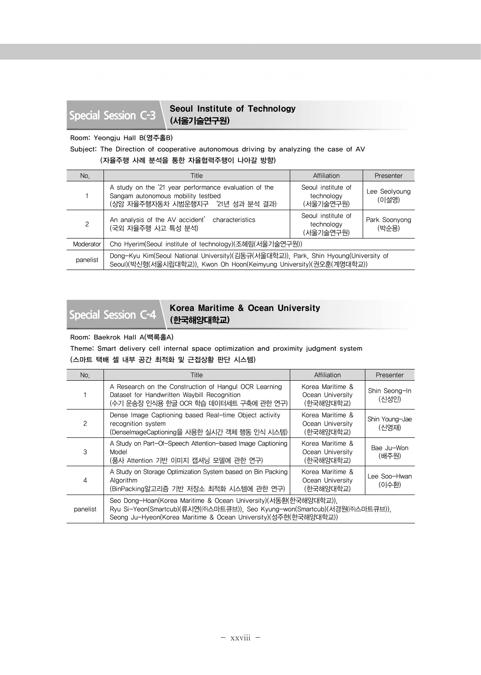## Special Session C-3 Seoul Institute of Technology (서울기술연구원)

### Room: Yeongju Hall B(영주홀B)

## Subject: The Direction of cooperative autonomous driving by analyzing the case of AV

(자율주행 사례 분석을 통한 자율협력주행이 나아갈 방향)

| No.           | Title                                                                                                                                                       | Affiliation                                   | Presenter              |
|---------------|-------------------------------------------------------------------------------------------------------------------------------------------------------------|-----------------------------------------------|------------------------|
|               | A study on the '21 year performance evaluation of the<br>Sangam autonomous mobility testbed<br>(상암 자율주행자동차 시범운행지구 '21년 성과 분석 결과)                            | Seoul institute of<br>technology<br>(서울기술연구원) | Lee Seolyoung<br>(이설영) |
| $\mathcal{P}$ | An analysis of the AV accident' characteristics<br>(국외 자율주행 사고 특성 분석)                                                                                       | Seoul institute of<br>technology<br>(서울기술연구원) | Park Soonyong<br>(박순용) |
| Moderator     | Cho Hyerim(Seoul institute of technology)(조혜림(서울기술연구원))                                                                                                     |                                               |                        |
| panelist      | Dong-Kyu Kim(Seoul National University)(김동규(서울대학교)), Park, Shin Hyoung(University of<br>Seoul)(박신형(서울시립대학교)), Kwon Oh Hoon(Keimyung University)(권오훈(계명대학교)) |                                               |                        |

Special Session C-4 Korea Maritime & Ocean University (한국해양대학교)

### Room: Baekrok Hall A(백록홀A)

Theme: Smart delivery cell internal space optimization and proximity judgment system (스마트 택배 셀 내부 공간 최적화 및 근접상황 판단 시스템)

| No.           | Title                                                                                                                                                                                                           | Affiliation                                       | Presenter               |
|---------------|-----------------------------------------------------------------------------------------------------------------------------------------------------------------------------------------------------------------|---------------------------------------------------|-------------------------|
|               | A Research on the Construction of Hangul OCR Learning<br>Dataset for Handwritten Waybill Recognition<br>(수기 운송장 인식용 한글 OCR 학습 데이터세트 구축에 관한 연구)                                                                  | Korea Maritime &<br>Ocean University<br>(한국해양대학교) | Shin Seong-In<br>(신성인)  |
| $\mathcal{P}$ | Dense Image Captioning based Real-time Object activity<br>recognition system<br>(DenselmageCaptioning을 사용한 실시간 객체 행동 인식 시스템)                                                                                    | Korea Maritime &<br>Ocean University<br>(한국해양대학교) | Shin Young-Jae<br>(신영재) |
| 3             | A Study on Part-Of-Speech Attention-based Image Captioning<br>Model<br>(품사 Attention 기반 이미지 캡셔닝 모델에 관한 연구)                                                                                                      | Korea Maritime &<br>Ocean University<br>(하국해양대학교) | Bae Ju-Won<br>(배주원)     |
| 4             | A Study on Storage Optimization System based on Bin Packing<br>Algorithm<br>(BinPacking알고리즘 기반 저장소 최적화 시스템에 관한 연구)                                                                                              | Korea Maritime &<br>Ocean University<br>(한국해양대학교) | Lee Soo-Hwan<br>(이수환)   |
| panelist      | Seo Dong-Hoan(Korea Maritime & Ocean University)(서동환(한국해양대학교)).<br>Ryu Si-Yeon(Smartcub)(류시연(㈜스마트큐브)), Seo Kyung-won(Smartcub)(서경원(㈜스마트큐브)),<br>Seong Ju-Hyeon(Korea Maritime & Ocean University)(성주현(한국해양대학교)) |                                                   |                         |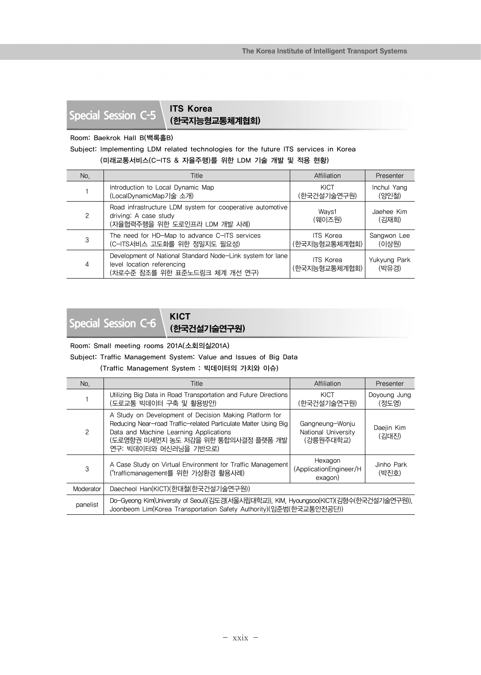# **Special Session C-5** | **ITS Korea**

(한국지능형교통체계협회)

## Room: Baekrok Hall B(백록홀B)

## Subject: Implementing LDM related technologies for the future ITS services in Korea (미래교통서비스(C-ITS & 자율주행)를 위한 LDM 기술 개발 및 적용 현황)

| No. | Title                                                                                                                     | Affiliation                       | Presenter             |
|-----|---------------------------------------------------------------------------------------------------------------------------|-----------------------------------|-----------------------|
|     | Introduction to Local Dynamic Map<br>(LocalDynamicMap기술 소개)                                                               | KICT<br>(한국건설기술연구원)               | Inchul Yang<br>(양인철)  |
| 2   | Road infrastructure LDM system for cooperative automotive<br>driving: A case study<br>(자율협력주행을 위한 도로인프라 LDM 개발 사례)        | Ways1<br>(웨이즈원)                   | Jaehee Kim<br>(김재희)   |
| 3   | The need for HD-Map to advance C-ITS services<br>(C-ITS서비스 고도화를 위한 정밀지도 필요성)                                              | <b>ITS Korea</b><br>(한국지능형교통체계협회) | Sangwon Lee<br>(이상원)  |
| 4   | Development of National Standard Node-Link system for lane<br>level location referencing<br>(차로수준 참조를 위한 표준노드링크 체계 개선 연구) | <b>ITS Korea</b><br>(한국지능형교통체계협회) | Yukyung Park<br>(박유경) |

# **Special Session C-6** KICT

## (한국건설기술연구원)

Room: Small meeting rooms 201A(소회의실201A)

Subject: Traffic Management System: Value and Issues of Big Data

(Traffic Management System : 빅데이터의 가치와 이슈)

| No.       | Title                                                                                                                                                                                                                               | Affiliation                                         | Presenter             |
|-----------|-------------------------------------------------------------------------------------------------------------------------------------------------------------------------------------------------------------------------------------|-----------------------------------------------------|-----------------------|
|           | Utilizing Big Data in Road Transportation and Future Directions<br>(도로교통 빅데이터 구축 및 활용방안)                                                                                                                                            | KICT<br>(한국건설기술연구원)                                 | Doyoung Jung<br>(정도영) |
| 2         | A Study on Development of Decision Making Platform for<br>Reducing Near-road Traffic-related Particulate Matter Using Big<br>Data and Machine Learning Applications<br>(도로영향권 미세먼지 농도 저감을 위한 통합의사결정 플랫폼 개발<br>연구: 빅데이터와 머신러닝을 기반으로) | Gangneung-Wonju<br>National University<br>(강릉원주대학교) | Daejin Kim<br>(김대진)   |
| 3         | A Case Study on Virtual Environment for Traffic Management<br>("trafficmanagement를 위한 가상환경 활용사례)                                                                                                                                    | Hexagon<br>(ApplicationEngineer/H<br>exagon)        | Jinho Park<br>(박진호)   |
| Moderator | Daecheol Han(KICT)(한대철(한국건설기술연구원))                                                                                                                                                                                                  |                                                     |                       |
| panelist  | Do-Gyeong Kim(University of Seoul)(김도경(서울시립대학교)), KIM, Hyoungsoo(KICT)(김형수(한국건설기술연구원)),<br>Joonbeom Lim(Korea Transportation Safety Authority)(임준범(한국교통안전공단))                                                                       |                                                     |                       |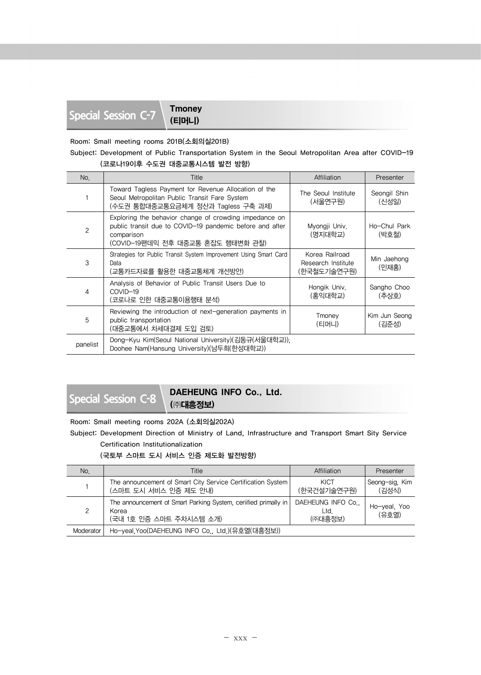(티머니)

Room: Small meeting rooms 201B(소회의실201B)

```
Subject: Development of Public Transportation System in the Seoul Metropolitan Area after COVID-19
       (코로나19이후 수도권 대중교통시스템 발전 방향)
```

| No.      | Title                                                                                                                                                                 | Affiliation                                         | Presenter              |
|----------|-----------------------------------------------------------------------------------------------------------------------------------------------------------------------|-----------------------------------------------------|------------------------|
|          | Toward Tagless Payment for Revenue Allocation of the<br>Seoul Metropolitan Public Transit Fare System<br>(수도권 통합대중교통요금체계 정산과 Tagless 구축 과제)                           | The Seoul Institute<br>(서울연구원)                      | Seongil Shin<br>(신성일)  |
| 2        | Exploring the behavior change of crowding impedance on<br>public transit due to COVID-19 pandemic before and after<br>comparison<br>(COVID-19팬데믹 전후 대중교통 혼잡도 행태변화 관찰) | Myongji Univ.<br>(명지대학교)                            | Ho-Chul Park<br>(박호철)  |
| 3        | Strategies for Public Transit System Improvement Using Smart Card<br>Data<br>(교통카드자료를 활용한 대중교통체계 개선방안)                                                                | Korea Railroad<br>Research Institute<br>(한국철도기술연구원) | Min Jaehong<br>(민재홍)   |
| 4        | Analysis of Behavior of Public Transit Users Due to<br>COVID-19<br>(코로나로 인한 대중교통이용행태 분석)                                                                              | Hongik Univ.<br>(홍익대학교)                             | Sangho Choo<br>(추상호)   |
| 5        | Reviewing the introduction of next-generation payments in<br>public transportation<br>(대중교통에서 차세대결제 도입 검토)                                                            | Tmoney<br>(티머니)                                     | Kim Jun Seong<br>(김준성) |
| panelist | Dong-Kyu Kim(Seoul National University)(김동규(서울대학교)),<br>Doohee Nam(Hansung University)(남두희(한성대학교))                                                                    |                                                     |                        |

## **Special Session C-8** DAEHEUNG INFO Co., Ltd. (㈜대흥정보)

Room: Small meeting rooms 202A (소회의실202A)

Subject: Development Direction of Ministry of Land, Infrastructure and Transport Smart Sity Service Certification Institutionalization

(국토부 스마트 도시 서비스 인증 제도화 발전방향)

| No.           | Title                                                                                               | Affiliation                         | Presenter               |
|---------------|-----------------------------------------------------------------------------------------------------|-------------------------------------|-------------------------|
|               | The announcement of Smart City Service Certification System<br>(스마트 도시 서비스 인증 제도 안내)                | KICT<br>(한국거설기술연구원)                 | Seong-sig. Kim<br>(김성식) |
| $\mathcal{P}$ | The announcement of Smart Parking System, ceriffied primally in<br>Korea<br>(국내 1호 인증 스마트 주차시스템 소개) | DAEHEUNG INFO Co.<br>Ltd<br>(㈜대흥정보) | Ho-yeal, Yoo<br>(유호열)   |
| Moderator     | Ho-yeal Yoo(DAEHEUNG INFO Co., Ltd.)(유호열(대흥정보))                                                     |                                     |                         |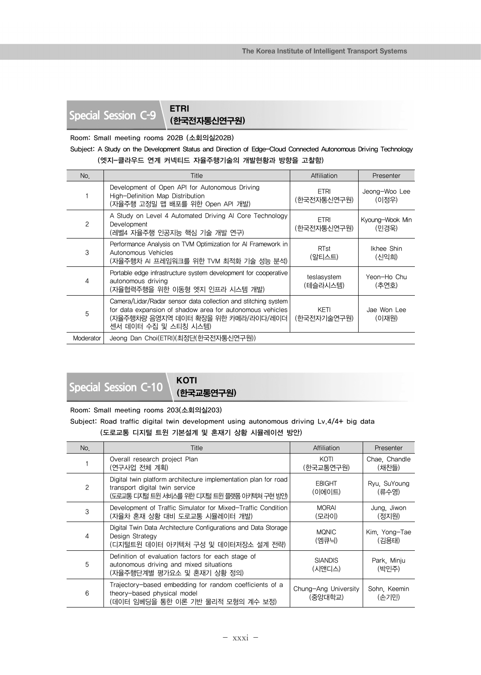# **Special Session C-9** ETRI

(한국전자통신연구원)

Room: Small meeting rooms 202B (소회의실202B)

Subject: A Study on the Development Status and Direction of Edge-Cloud Connected Autonomous Driving Technology (엣지-클라우드 연계 커넥티드 자율주행기술의 개발현황과 방향을 고찰함)

| No.           | Title                                                                                                                                                                                      | Affiliation                | Presenter                |
|---------------|--------------------------------------------------------------------------------------------------------------------------------------------------------------------------------------------|----------------------------|--------------------------|
|               | Development of Open API for Autonomous Driving<br>High-Definition Map Distribution<br>(자율주행 고정밀 맵 배포를 위한 Open API 개발)                                                                      | <b>ETRI</b><br>(한국전자통신연구원) | Jeong-Woo Lee<br>(이정우)   |
| $\mathcal{P}$ | A Study on Level 4 Automated Driving Al Core Technology<br>Development<br>(레벨4 자율주행 인공지능 핵심 기술 개발 연구)                                                                                      | <b>ETRI</b><br>(한국전자통신연구원) | Kyoung-Wook Min<br>(민경욱) |
| 3             | Performance Analysis on TVM Optimization for AI Framework in<br>Autonomous Vehicles<br>(자율주행차 AI 프레임워크를 위한 TVM 최적화 기술 성능 분석)                                                               | <b>RTst</b><br>(알티스트)      | Ikhee Shin<br>(신익희)      |
| 4             | Portable edge infrastructure system development for cooperative<br>autonomous driving<br>(자율협력주행을 위한 이동형 엣지 인프라 시스템 개발)                                                                    | teslasystem<br>(테슬라시스템)    | Yeon-Ho Chu<br>(추연호)     |
| 5             | Camera/Lidar/Radar sensor data collection and stitching system<br>for data expansion of shadow area for autonomous vehicles<br>(자율주행차량 음영지역 데이터 확장을 위한 카메라/라이다/레이더<br>센서 데이터 수집 및 스티칭 시스템) | KETI<br>(한국전자기술연구원)        | Jae Won Lee<br>(이재원)     |
| Moderator     | Jeong Dan Choi(ETRI)(최정단(한국전자통신연구원))                                                                                                                                                       |                            |                          |

# **Special Session C-10** KOTI

(한국교통연구원)

Room: Small meeting rooms 203(소회의실203)

```
Subject: Road traffic digital twin development using autonomous driving Lv.4/4+ big data
       (도로교통 디지털 트윈 기본설계 및 혼재기 상황 시뮬레이션 방안)
```

| No. | Title                                                                                                                                            | Affiliation                     | Presenter              |
|-----|--------------------------------------------------------------------------------------------------------------------------------------------------|---------------------------------|------------------------|
|     | Overall research project Plan<br>(연구사업 전체 계획)                                                                                                    | KOTI<br>(한국교통연구원)               | Chae. Chandle<br>(채찬들) |
| 2   | Digital twin platform architecture implementation plan for road<br>transport digital twin service<br>(도로교통 디지털 트윈 서비스를 위한 디지털 트윈 플랫폼 아키텍쳐 구현 방안) | E8IGHT<br>(이에이트)                | Ryu. SuYoung<br>(류수영)  |
| 3   | Development of Traffic Simulator for Mixed-Traffic Condition<br>(자율차 혼재 상황 대비 도로교통 시뮬레이터 개발)                                                     | <b>MORAI</b><br>(모라이)           | Jung, Jiwon<br>(정지원)   |
| 4   | Digital Twin Data Architecture Configurations and Data Storage<br>Design Strategy<br>(디지털트윈 데이터 아키텍처 구성 및 데이터저장소 설계 전략)                          | <b>MQNIC</b><br>(엠큐닉)           | Kim. Yong-Tae<br>(김용태) |
| 5   | Definition of evaluation factors for each stage of<br>autonomous driving and mixed situations<br>(자율주행단계별 평가요소 및 혼재기 상황 정의)                      | <b>SIANDIS</b><br>(시앤디스)        | Park, Minju<br>(박민주)   |
| 6   | Trajectory-based embedding for random coefficients of a<br>theory-based physical model<br>(데이터 임베딩을 통한 이론 기반 물리적 모형의 계수 보정)                      | Chung-Ang University<br>(중앙대학교) | Sohn, Keemin<br>(손기민)  |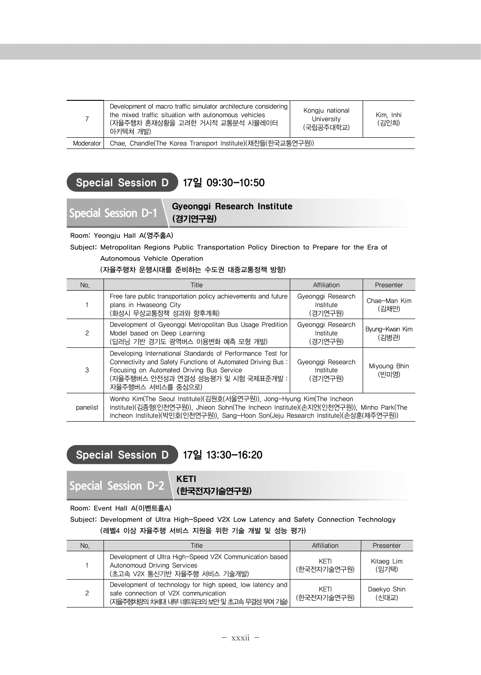|             | Development of macro traffic simulator architecture considering<br>the mixed traffic situation with autonomous vehicles<br>(자율주행차 혼재상황을 고려한 거시적 교통분석 시뮬레이터<br>아키텍쳐 개발) | Kongju national<br>University<br>(국립공주대학교) | Kim Inhi<br>(김인희) |
|-------------|------------------------------------------------------------------------------------------------------------------------------------------------------------------------|--------------------------------------------|-------------------|
| Moderator I | Chae, Chandle(The Korea Transport Institute)(채찬들(한국교통연구원))                                                                                                             |                                            |                   |

## Special Session D 17일 09:30-10:50

## **Special Session D-1** Gyeonggi Research Institute (경기연구원)

Room: Yeongju Hall A(영주홀A)

Subject: Metropolitan Regions Public Transportation Policy Direction to Prepare for the Era of

Autonomous Vehicle Operation

(자율주행차 운행시대를 준비하는 수도권 대중교통정책 방향)

| No.      | Title                                                                                                                                                                                                                                                  | Affiliation                               | Presenter               |
|----------|--------------------------------------------------------------------------------------------------------------------------------------------------------------------------------------------------------------------------------------------------------|-------------------------------------------|-------------------------|
|          | Free fare public transportation policy achievements and future<br>plans in Hwaseong City<br>(화성시 무상교통정책 성과와 향후계획)                                                                                                                                      | Gyeonggi Research<br>Institute<br>(경기연구원) | Chae-Man Kim<br>(김채만)   |
| 2        | Development of Gyeonggi Metropolitan Bus Usage Predition<br>Model based on Deep Learning<br>(딥러닝 기반 경기도 광역버스 이용변화 예측 모형 개발)                                                                                                                            | Gyeonggi Research<br>Institute<br>(경기연구원) | Byung-Kwan Kim<br>(김병관) |
| 3        | Developing International Standards of Performance Test for<br>Connectivity and Safety Functions of Automated Driving Bus:<br>Focusing on Automated Driving Bus Service<br>(자율주행버스 안전성과 연결성 성능평가 및 시험 국제표준개발 :<br>자율주행버스 서비스를 중심으로)                     | Gyeonggi Research<br>Institute<br>(경기연구원) | Miyoung Bhin<br>(빈미영)   |
| panelist | Wonho Kim(The Seoul Institute)(김원호(서울연구원)), Jong-Hyung Kim(The Incheon<br>Institute)(김종형(인천연구원)), Jhieon Sohn(The Incheon Institute)(손지언(인천연구원)), Minho Park(The<br>Incheon Institute)(박민호(인천연구원)), Sang-Hoon Son(Jeju Research Institute)(손상훈(제주연구원)) |                                           |                         |

## Special Session D 17일 13:30-16:20

**Special Session D-2** KETI

(한국전자기술연구원)

### Room: Event Hall A(이벤트홀A)

Subject: Development of Ultra High-Speed V2X Low Latency and Safety Connection Technology (레벨4 이상 자율주행 서비스 지원을 위한 기술 개발 및 성능 평가)

| No. | Title                                                                                                                                          | Affiliation         | Presenter            |
|-----|------------------------------------------------------------------------------------------------------------------------------------------------|---------------------|----------------------|
|     | Development of Ultra High-Speed V2X Communication based<br>Autonomoud Driving Services<br>(초고속 V2X 통신기반 자율주행 서비스 기술개발)                         | KFTI<br>(한국전자기술연구원) | Kitaeg Lim<br>(임기택)  |
| 2   | Development of technology for high speed, low latency and<br>safe connection of V2X communication<br>(지율주행차량의 차세대 내부 네트워크의 보안 및 초고속 무결성 부여 기술) | KFTI<br>(한국전자기술연구원) | Daekyo Shin<br>(신대교) |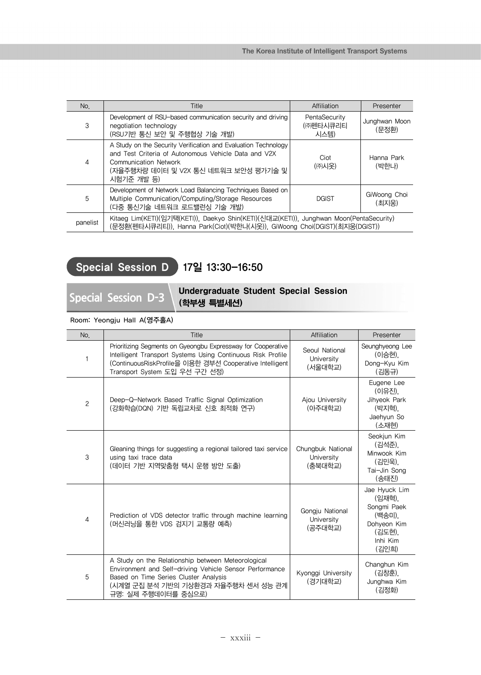| No.      | <b>Title</b>                                                                                                                                                                                                 | Affiliation                       | Presenter              |
|----------|--------------------------------------------------------------------------------------------------------------------------------------------------------------------------------------------------------------|-----------------------------------|------------------------|
| 3        | Development of RSU-based communication security and driving<br>negotiation technology<br>(RSU기반 통신 보안 및 주행협상 기술 개발)                                                                                          | PentaSecurity<br>(㈜펜타시큐리티<br>시스템) | Junghwan Moon<br>(문정환) |
| 4        | A Study on the Security Verification and Evaluation Technology<br>and Test Criteria of Autonomous Vehicle Data and V2X<br><b>Communication Network</b><br>(자율주행차량 데이터 및 V2X 통신 네트워크 보안성 평가기술 및<br>시험기주 개발 등) | Ciot<br>(㈜시옷)                     | Hanna Park<br>(박한나)    |
| 5        | Development of Network Load Balancing Techniques Based on<br>Multiple Communication/Computing/Storage Resources<br>(다중 통신기술 네트워크 로드밸런싱 기술 개발)                                                                | <b>DGIST</b>                      | GiWoong Choi<br>(최지웅)  |
| panelist | Kitaeg Lim(KETI)(임기택(KETI)), Daekyo Shin(KETI)(신대교(KETI)), Junghwan Moon(PentaSecurity)<br>(문정환(펜타시큐리티)), Hanna Park(Ciot)(박한나(시옷)), GiWoong Choi(DGIST)(최지웅(DGIST))                                         |                                   |                        |

## Special Session D 17일 13:30-16:50

## Special Session D-3 Undergraduate Student Special Session (학부생 특별세션)

Room: Yeongju Hall A(영주홀A)

| No.            | Title                                                                                                                                                                                                                   | Affiliation                                | Presenter                                                                                      |
|----------------|-------------------------------------------------------------------------------------------------------------------------------------------------------------------------------------------------------------------------|--------------------------------------------|------------------------------------------------------------------------------------------------|
| 1              | Prioritizing Segments on Gyeongbu Expressway for Cooperative<br>Intelligent Transport Systems Using Continuous Risk Profile<br>(ContinuousRiskProfile을 이용한 경부선 Cooperative Intelligent<br>Transport System 도입 우선 구간 선정) | Seoul National<br>University<br>(서울대학교)    | Seunghyeong Lee<br>(이승현),<br>Dong-Kyu Kim<br>(김동규)                                             |
| $\overline{c}$ | Deep-Q-Network Based Traffic Signal Optimization<br>(강화학습(DQN) 기반 독립교차로 신호 최적화 연구)                                                                                                                                      | Ajou University<br>(아주대학교)                 | Eugene Lee<br>(이유진),<br>Jihyeok Park<br>(박지혁),<br>Jaehyun So<br>(소재현)                          |
| 3              | Gleaning things for suggesting a regional tailored taxi service<br>using taxi trace data<br>(데이터 기반 지역맞춤형 택시 운행 방안 도출)                                                                                                  | Chungbuk National<br>University<br>(충북대학교) | Seokjun Kim<br>(김석준),<br>Minwook Kim<br>(김민욱).<br>Tai-Jin Song<br>(송태진)                        |
| $\overline{4}$ | Prediction of VDS detector traffic through machine learning<br>(머신러닝을 통한 VDS 검지기 교통량 예측)                                                                                                                                | Gongju National<br>University<br>(공주대학교)   | Jae Hyuck Lim<br>(임재혁).<br>Songmi Paek<br>(백송미),<br>Dohyeon Kim<br>(김도현).<br>Inhi Kim<br>(김인희) |
| 5              | A Study on the Relationship between Meteorological<br>Environment and Self-driving Vehicle Sensor Performance<br>Based on Time Series Cluster Analysis<br>(시계열 군집 분석 기반의 기상환경과 자율주행차 센서 성능 관계<br>규명: 실제 주행데이터를 중심으로)    | Kyonggi University<br>(경기대학교)              | Changhun Kim<br>(김창훈),<br>Junghwa Kim<br>(김정화)                                                 |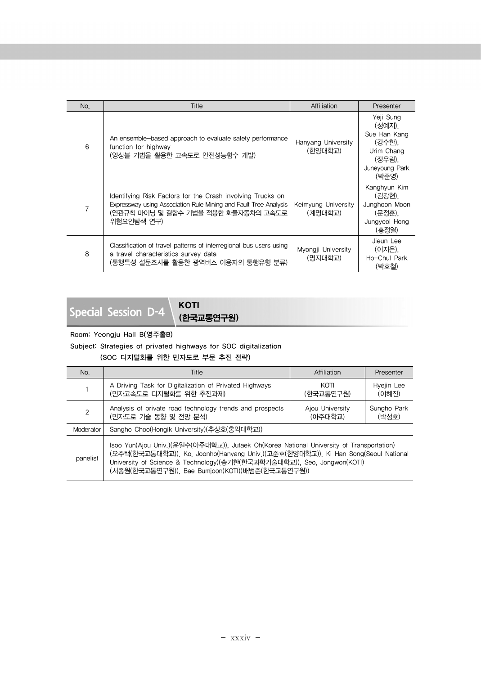| No. | Title                                                                                                                                                                               | Affiliation                    | Presenter                                                                                        |
|-----|-------------------------------------------------------------------------------------------------------------------------------------------------------------------------------------|--------------------------------|--------------------------------------------------------------------------------------------------|
| 6   | An ensemble-based approach to evaluate safety performance<br>function for highway<br>(앙상블 기법을 활용한 고속도로 안전성능함수 개발)                                                                   | Hanyang University<br>(한양대학교)  | Yeji Sung<br>(성예지).<br>Sue Han Kang<br>(강수한),<br>Urim Chang<br>(장우림).<br>Juneyoung Park<br>(박준영) |
| 7   | Identifying Risk Factors for the Crash involving Trucks on<br>Expressway using Association Rule Mining and Fault Tree Analysis<br>(연관규칙 마이닝 및 결함수 기법을 적용한 화물자동차의 고속도로<br>위험요인탐색 연구) | Keimyung University<br>(계명대학교) | Kanghyun Kim<br>(김강현).<br>Junghoon Moon<br>(문정훈).<br>Jungyeol Hong<br>(홍정열)                      |
| 8   | Classification of travel patterns of interregional bus users using<br>a travel characteristics survey data<br>(통행특성 설문조사를 활용한 광역버스 이용자의 통행유형 분류)                                    | Myongji University<br>(명지대학교)  | Jieun Lee<br>(이지은).<br>Ho-Chul Park<br>(박호철)                                                     |

**Special Session D-4** KOTI

(한국교통연구원)

### Room: Yeongju Hall B(영주홀B)

Subject: Strategies of privated highways for SOC digitalization

(SOC 디지털화를 위한 민자도로 부문 추진 전략)

| No.       | Title                                                                                                                                                                                                                                                                                                       | Affiliation                | Presenter            |
|-----------|-------------------------------------------------------------------------------------------------------------------------------------------------------------------------------------------------------------------------------------------------------------------------------------------------------------|----------------------------|----------------------|
|           | A Driving Task for Digitalization of Privated Highways<br>(민자고속도로 디지털화를 위한 추진과제)                                                                                                                                                                                                                            | KOTI<br>(한국교통연구원)          | Hyejin Lee<br>(이혜진)  |
| 2         | Analysis of private road technology trends and prospects<br>(민자도로 기술 동향 및 전망 분석)                                                                                                                                                                                                                            | Aiou University<br>(아주대학교) | Sungho Park<br>(박성호) |
| Moderator | Sangho Choo(Hongik University)(추상호(홍익대학교))                                                                                                                                                                                                                                                                  |                            |                      |
| panelist  | Isoo Yun(Ajou Univ.)(윤일수(아주대학교)), Jutaek Oh(Korea National University of Transportation)<br>(오주택(한국교통대학교)), Ko, Joonho(Hanyang Univ.)(고준호(한양대학교)), Ki Han Song(Seoul National<br>University of Science & Technology)(송기한(한국과학기술대학교)), Seo, Jongwon(KOTI)<br>(서종원(한국교통연구원)), Bae Bumjoon(KOTI)(배범준(한국교통연구원)) |                            |                      |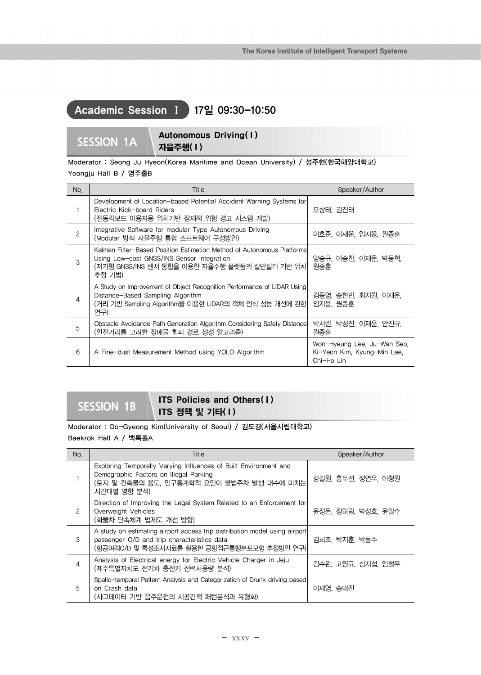## Academic Session Ⅰ 17일 09:30-10:50

## SESSION 1A **Autonomous Driving(1)** 자율주행( I )

Moderator : Seong Ju Hyeon(Korea Maritime and Ocean University) / 성주현(한국해양대학교) Yeongju Hall B / 영주홀B

| No.            | Title                                                                                                                                                                            | Speaker/Author                                                           |
|----------------|----------------------------------------------------------------------------------------------------------------------------------------------------------------------------------|--------------------------------------------------------------------------|
|                | Development of Location-based Potential Accident Warning Systems for<br>Electric Kick-board Riders<br>(전동킥보드 이용자용 위치기반 잠재적 위험 경고 시스템 개발)                                         | 오상태. 김진태                                                                 |
| $\overline{c}$ | Integrative Software for modular Type Autonomous Driving<br>(Modular 방식 자율주행 통합 소프트웨어 구성방안)                                                                                      | 이호준, 이재운, 임지웅, 원종훈                                                       |
| 3              | Kalman Filter-Based Position Estimation Method of Autonomous Platforms<br>Using Low-cost GNSS/INS Sensor Integration<br>(저가형 GNSS/INS 센서 통합을 이용한 자율주행 플랫폼의 칼만필터 기반 위치 <br>추정 기법) | 양승규, 이승찬, 이재운, 박동혁,<br>원종훈                                               |
| 4              | A Study on Improvement of Object Recognition Performance of LiDAR Using<br>Distance-Based Sampling Algorithm<br>(거리 기반 Sampling Algorithm을 이용한 LiDAR의 객체 인식 성능 개선에 관한 <br>연구)    | 김동영, 송한빈, 최지원, 이재운,<br>임지웅, 원종훈                                          |
| 5              | Obstacle Avoidance Path Generation Algorithm Considering Safety Distance<br>(안전거리를 고려한 장애물 회피 경로 생성 알고리즘)                                                                        | 박서린, 박성진, 이재운, 안진규,<br>원종훈                                               |
| 6              | A Fine-dust Measurement Method using YOLO Algorithm                                                                                                                              | Won-Hyeung Lee, Ju-Wan Seo,<br>Ki-Yeon Kim, Kyung-Min Lee,<br>Chi-Ho Lin |

## **SESSION 1B** ITS Policies and Others(1) ITS 정책 및 기타(1)

Moderator : Do-Gyeong Kim(University of Seoul) / 김도경(서울시립대학교) Baekrok Hall A / 백록홀A

| No.           | Title                                                                                                                                                                   | Speaker/Author     |
|---------------|-------------------------------------------------------------------------------------------------------------------------------------------------------------------------|--------------------|
|               | Exploring Temporally Varying Influences of Built Environment and<br>Demographic Factors on Illegal Parking<br>(토지 및 건축물의 용도, 인구통계학적 요인이 불법주차 발생 대수에 미치는<br>시간대별 영향 분석)  | 강길원, 홍두선, 정연우, 이청원 |
| $\mathcal{P}$ | Direction of Improving the Legal System Related to an Enforcement for<br>Overweight Vehicles<br>(화물차 단속체계 법제도 개선 방향)                                                    | 윤정은, 정하림, 박성호, 윤일수 |
| 3             | A study on estimating airport access trip distribution model using airport<br>passenger O/D and trip characteristics data<br>(항공여객O/D 및 특성조사자료를 활용한 공항접근통행분포모형 추정방안 연구) | 김희조, 탁지훈, 박동주      |
| 4             | Analysis of Electrical energy for Electric Vehicle Charger in Jeju<br>(제주특별자치도 전기차 충전기 전력사용량 분석)                                                                        | 김수완, 고영규, 심지섭, 임철우 |
| 5             | Spatio-temporal Pattern Analysis and Categorization of Drunk driving based<br>on Crash data<br>(사고데이터 기반 음주운전의 시공간적 패턴분석과 유형화)                                          | 이재영, 송태진           |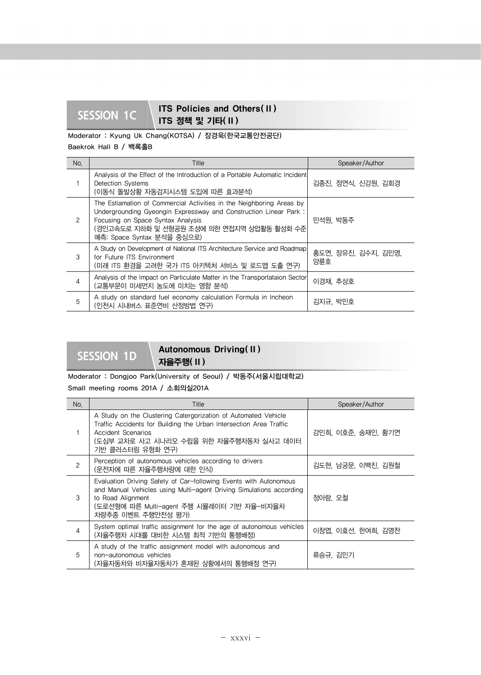## **SESSION 1C ITS Policies and Others(II)** ITS 정책 및 기타( II )

Moderator : Kyung Uk Chang(KOTSA) / 장경욱(한국교통안전공단) Baekrok Hall B / 백록홀B

No. Speaker/Author No. Title Speaker/Author Speaker/Author 1 Analysis of the Effect of the Introduction of a Portable Automatic Incident Detection Systems (이동식 돌발상황 자동검지시스템 도입에 따른 효과분석) 김종진, 정연식, 신강원, 김회경 2 The Estiamation of Commercial Activities in the Neighboring Areas by Undergrounding Gyeongin Expressway and Construction Linear Park : Focusing on Space Syntax Analysis (경인고속도로 지하화 및 선형공원 조성에 의한 연접지역 상업활동 활성화 수준 예측: Space Syntax 분석을 중심으로) 민석원, 박동주 3 A Study on Development of National ITS Architecture Service and Roadmap for Future ITS Environment (미래 ITS 환경을 고려한 국가 ITS 아키텍처 서비스 및 로드맵 도출 연구) 홍도연, 장유진, 김수지, 김민영, 양륜호 Analysis of the Impact on Particulate Matter in the Transportataion Sector Analysis or the impact on Particulate Matter in the Transportataion Sector | 이경재, 추상호<br>(교통부문이 미세먼지 농도에 미치는 영향 분석)  $\overline{5}$  A study on standard fuel economy calculation Formula in Incheon A study on standard fuel economy calculation Formula in incriedities | 김지규, 박민호<br>(인천시 시내버스 표준연비 산정방법 연구)

# SESSION 1D **Autonomous Driving(II)**

자율주행( II ) Moderator : Dongjoo Park(University of Seoul) / 박동주(서울시립대학교)

Small meeting rooms 201A / 소회의실201A

| No.            | Title                                                                                                                                                                                                                            | Speaker/Author     |
|----------------|----------------------------------------------------------------------------------------------------------------------------------------------------------------------------------------------------------------------------------|--------------------|
|                | A Study on the Clustering Catergorization of Automated Vehicle<br>Traffic Accidents for Building the Urban Intersection Area Traffic<br>Accident Scenarios<br>(도심부 교차로 사고 시나리오 수립을 위한 자율주행자동차 실사고 데이터<br>기반 클러스터링 유형화 연구)        | 강민희, 이호준, 송재인, 황기연 |
| $\overline{c}$ | Perception of autonomous vehicles according to drivers<br>(운전자에 따른 자율주행차량에 대한 인식)                                                                                                                                                | 김도현, 남궁문, 이백진, 김원철 |
| 3              | Evaluation Driving Safety of Car-following Events with Autonomous<br>and Manual Vehicles using Multi-agent Driving Simulations according<br>to Road Alignment<br>(도로선형에 따른 Multi-agent 주행 시뮬레이터 기반 자율-비자율차<br>차량추종 이벤트 주행안전성 평가) | 정아람, 오철            |
| $\overline{4}$ | System optimal traffic assignment for the age of autonomous vehicles<br>(자율주행차 시대를 대비한 시스템 최적 기반의 통행배정)                                                                                                                          | 이창엽, 이효선, 한여희, 김영찬 |
| 5              | A study of the traffic assignment model with autonomous and<br>non-autonomous vehicles<br>(자율자동차와 비자율자동차가 혼재된 상황에서의 통행배정 연구)                                                                                                     | 류승규, 김민기           |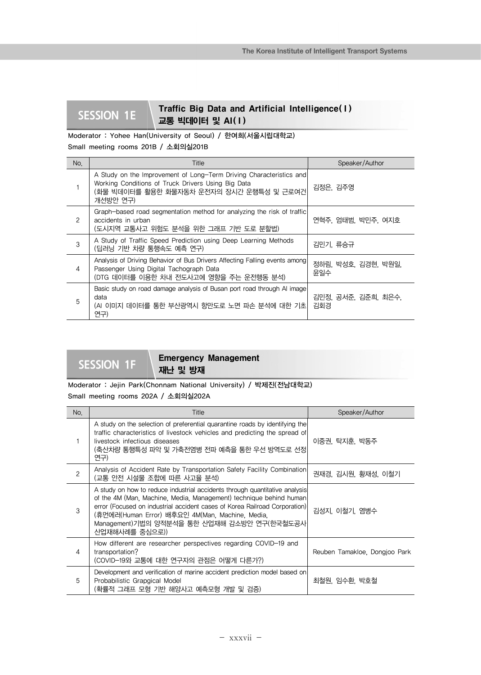## **SESSION 1E** Traffic Big Data and Artificial Intelligence(1) 교통 빅데이터 및 AI( I)

Moderator : Yohee Han(University of Seoul) / 한여희(서울시립대학교) Small meeting rooms 201B / 소회의실201B

| No.           | Title                                                                                                                                                                             | Speaker/Author             |
|---------------|-----------------------------------------------------------------------------------------------------------------------------------------------------------------------------------|----------------------------|
|               | A Study on the Improvement of Long-Term Driving Characteristics and<br>Working Conditions of Truck Drivers Using Big Data<br>(화물 빅데이터를 활용한 화물자동차 운전자의 장시간 운행특성 및 근로여건<br>개선방안 연구) | 김정은, 김주영                   |
| $\mathcal{P}$ | Graph-based road segmentation method for analyzing the risk of traffic<br>accidents in urban<br>(도시지역 교통사고 위험도 분석을 위한 그래프 기반 도로 분할법)                                              | 연혁주, 엄태범, 박민주, 여지호         |
| 3             | A Study of Traffic Speed Prediction using Deep Learning Methods<br>(딥러닝 기반 차량 통행속도 예측 연구)                                                                                         | 김민기, 류승규                   |
| 4             | Analysis of Driving Behavior of Bus Drivers Affecting Falling events among<br>Passenger Using Digital Tachograph Data<br>(DTG 데이터를 이용한 차내 전도사고에 영향을 주는 운전행동 분석)                   | 정하림, 박성호, 김경현, 박원일,<br>윤일수 |
| 5             | Basic study on road damage analysis of Busan port road through AI image<br>data<br>(AI 이미지 데이터를 통한 부산광역시 항만도로 노면 파손 분석에 대한 기초 <br>연구)                                             | 김민정, 공서준, 김준희, 최은수,<br>김회경 |

**SESSION 1F** Emergency Management 재난 및 방재

Moderator : Jejin Park(Chonnam National University) / 박제진(전남대학교)

Small meeting rooms 202A / 소회의실202A

| No.            | Title                                                                                                                                                                                                                                                                                                                                                | Speaker/Author                |
|----------------|------------------------------------------------------------------------------------------------------------------------------------------------------------------------------------------------------------------------------------------------------------------------------------------------------------------------------------------------------|-------------------------------|
|                | A study on the selection of preferential quarantine roads by identifying the<br>traffic characteristics of livestock vehicles and predicting the spread of<br>livestock infectious diseases<br>(축산차량 통행특성 파악 및 가축전염병 전파 예측을 통한 우선 방역도로 선정<br>연구)                                                                                                     | 이중권, 탁지훈, 박동주                 |
| $\overline{c}$ | Analysis of Accident Rate by Transportation Safety Facility Combination<br>(교통 안전 시설물 조합에 따른 사고율 분석)                                                                                                                                                                                                                                                 | 권재경, 김시원, 황재성, 이철기            |
| 3              | A study on how to reduce industrial accidents through quantitative analysis<br>of the 4M (Man, Machine, Media, Management) technique behind human<br>error (Focused on industrial accident cases of Korea Railroad Corporation)<br>(휴먼에러(Human Error) 배후요인 4M(Man, Machine, Media,<br>Management)기법의 양적분석을 통한 산업재해 감소방안 연구(한국철도공사 <br>산업재해사례를 중심으로)) | 김성지, 이철기, 염병수                 |
| $\overline{4}$ | How different are researcher perspectives regarding COVID-19 and<br>transportation?<br>(COVID-19와 교통에 대한 연구자의 관점은 어떻게 다른가?)                                                                                                                                                                                                                          | Reuben Tamakloe, Dongjoo Park |
| 5              | Development and verification of marine accident prediction model based on<br>Probabilistic Grapgical Model<br>(확률적 그래프 모형 기반 해양사고 예측모형 개발 및 검증)                                                                                                                                                                                                      | 최철원, 임수환, 박호철                 |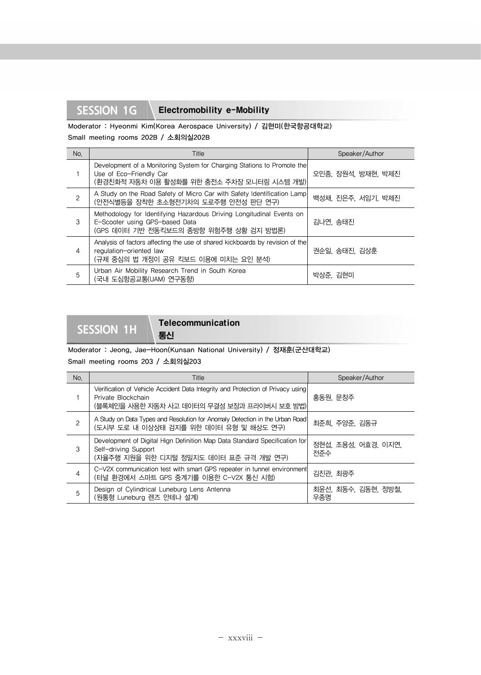## **SESSION 1G** Electromobility e-Mobility

Moderator : Hyeonmi Kim(Korea Aerospace University) / 김현미(한국항공대학교) Small meeting rooms 202B / 소회의실202B

| No.            | Title                                                                                                                                            | Speaker/Author     |
|----------------|--------------------------------------------------------------------------------------------------------------------------------------------------|--------------------|
|                | Development of a Monitoring System for Charging Stations to Promote the<br>Use of Eco-Friendly Car<br>(환경친화적 자동차 이용 활성화를 위한 충전소 주차장 모니터링 시스템 개발) | 오민종, 장원석, 방재현, 박제진 |
| $\overline{c}$ | A Study on the Road Safety of Micro Car with Safety Identification Lamp<br>(안전식별등을 장착한 초소형전기차의 도로주행 안전성 판단 연구)                                   | 백성채, 진은주, 서임기, 박제진 |
| 3              | Methodology for Identifying Hazardous Driving Longitudinal Events on<br>E-Scooter using GPS-based Data<br>(GPS 데이터 기반 전동킥보드의 종방향 위험주행 상황 검지 방법론) | 김나연, 송태진           |
| $\overline{4}$ | Analysis of factors affecting the use of shared kickboards by revision of the<br>regulation-oriented law<br>(규제 중심의 법 개정이 공유 킥보드 이용에 미치는 요인 분석)  | 권순일, 송태진, 김상훈      |
| 5              | Urban Air Mobility Research Trend in South Korea<br>(국내 도심항공교통(UAM) 연구동향)                                                                        | 박상준, 김현미           |

**SESSION 1H** Telecommunication

Moderator : Jeong, Jae-Hoon(Kunsan National University) / 정재훈(군산대학교) Small meeting rooms 203 / 소회의실203

통신

| No.            | Title                                                                                                                                                | Speaker/Author             |
|----------------|------------------------------------------------------------------------------------------------------------------------------------------------------|----------------------------|
|                | Verification of Vehicle Accident Data Integrity and Protection of Privacy using<br>Private Blockchain<br>(블록체인을 사용한 자동차 사고 데이터의 무결성 보장과 프라이버시 보호 방법) | 홍동원, 문창주                   |
| $\overline{c}$ | A Study on Data Types and Resolution for Anomaly Detection in the Urban Road<br>(도시부 도로 내 이상상태 검지를 위한 데이터 유형 및 해상도 연구)                               | 최준희, 주양준, 김동규              |
| 3              | Development of Digital Hign Definition Map Data Standard Specification for<br>Self-driving Support<br>(자율주행 지원을 위한 디지털 정밀지도 데이터 표준 규격 개발 연구)         | 정현섭, 조용성, 어효경, 이지연,<br>전주수 |
| $\overline{4}$ | C-V2X communication test with smart GPS repeater in tunnel environment<br>(터널 환경에서 스마트 GPS 중계기를 이용한 C-V2X 통신 시험)                                     | 김진관, 최광주                   |
| 5              | Design of Cylindrical Luneburg Lens Antenna<br>(원통형 Luneburg 렌즈 안테나 설계)                                                                              | 최윤선, 최동수, 김동현, 정방철,<br>우종명 |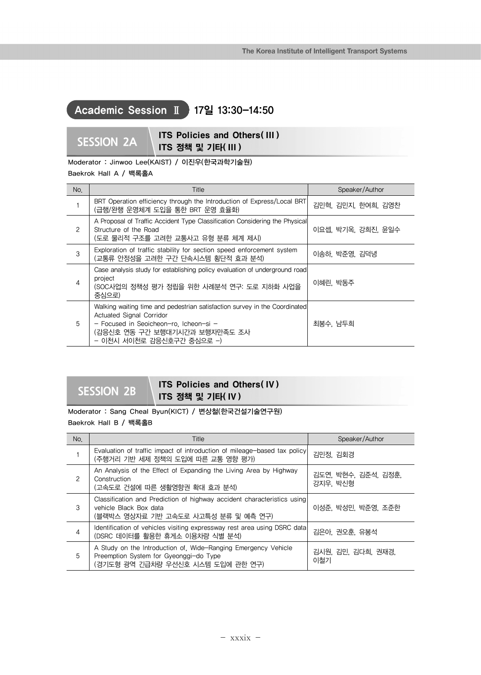## Academic Session Ⅱ 17일 13:30-14:50

$$
\mathsf{S} \mathsf{S} \mathsf{I} \mathsf{O} \mathsf{N} \ \mathsf{2} \mathsf{A}
$$

**SESSION 2A ITS Policies and Others( III )** ITS 정책 및 기타( III )

Moderator : Jinwoo Lee(KAIST) / 이진우(한국과학기술원)

## Baekrok Hall A / 백록홀A

| No. | Title                                                                                                                                                                                                          | Speaker/Author     |
|-----|----------------------------------------------------------------------------------------------------------------------------------------------------------------------------------------------------------------|--------------------|
|     | BRT Operation efficiency through the Introduction of Express/Local BRT<br>(급행/완행 운영체계 도입을 통한 BRT 운영 효율화)                                                                                                       | 김민혁, 김민지, 한여희, 김영찬 |
| 2   | A Proposal of Traffic Accident Type Classification Considering the Physical<br>Structure of the Road<br>(도로 물리적 구조를 고려한 교통사고 유형 분류 체계 제시)                                                                      | 이요셉, 박기옥, 강희진, 윤일수 |
| 3   | Exploration of traffic stability for section speed enforcement system<br>(교통류 안정성을 고려한 구간 단속시스템 횡단적 효과 분석)                                                                                                     | 이송하, 박준영, 김덕녕      |
| 4   | Case analysis study for establishing policy evaluation of underground road<br>project<br>(SOC사업의 정책성 평가 정립을 위한 사례분석 연구: 도로 지하화 사업을<br>중심으로)                                                                    | 이혜린, 박동주           |
| 5   | Walking waiting time and pedestrian satisfaction survey in the Coordinated<br>Actuated Signal Corridor<br>- Focused in Seoicheon-ro. Icheon-si -<br>(감응신호 연동 구간 보행대기시간과 보행자만족도 조사<br>- 이천시 서이천로 감응신호구간 중심으로 -) | 최봉수, 남두희           |

## **SESSION 2B** ITS Policies and Others(IV) ITS 정책 및 기타( IV )

Moderator : Sang Cheal Byun(KICT) / 변상철(한국건설기술연구원)

Baekrok Hall B / 백록홀B

| No.           | Title                                                                                                                                        | Speaker/Author                  |
|---------------|----------------------------------------------------------------------------------------------------------------------------------------------|---------------------------------|
|               | Evaluation of traffic impact of introduction of mileage-based tax policy<br>(주행거리 기반 세제 정책의 도입에 따른 교통 영향 평가)                                 | 김민정, 김회경                        |
| $\mathcal{P}$ | An Analysis of the Effect of Expanding the Living Area by Highway<br>Construction<br>(고속도로 건설에 따른 생활영향권 확대 효과 분석)                            | 김도연, 박현수, 김준석, 김정훈,<br>강지우, 박신형 |
| 3             | Classification and Prediction of highway accident characteristics using<br>vehicle Black Box data<br>(블랙박스 영상자료 기반 고속도로 사고특성 분류 및 예측 연구)     | 이성준, 박성민, 박준영, 조준한              |
| 4             | Identification of vehicles visiting expressway rest area using DSRC data<br>(DSRC 데이터를 활용한 휴게소 이용차량 식별 분석)                                   | 김은아, 권오훈, 유봉석                   |
| 5             | A Study on the Introduction of Wide-Ranging Emergency Vehicle<br>Preemption System for Gyeonggi-do Type<br>(경기도형 광역 긴급차량 우선신호 시스템 도입에 관한 연구) | 김시원, 김민, 김다희, 권재경,<br>이철기       |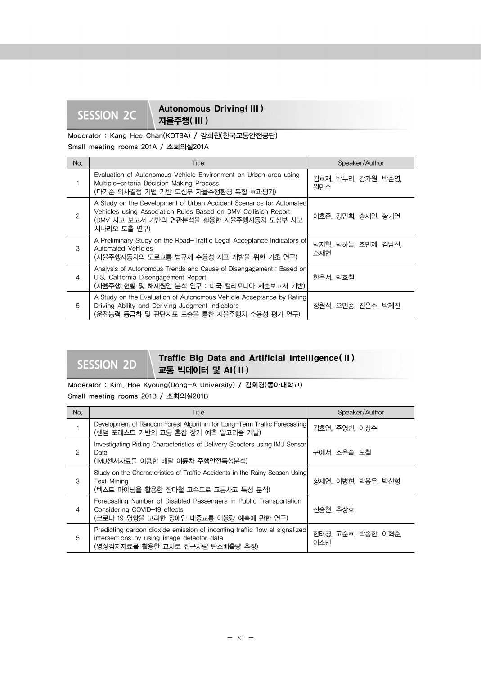## SESSION 2C Autonomous Driving(III) 자율주행( III )

Moderator : Kang Hee Chan(KOTSA) / 강희찬(한국교통안전공단)

Small meeting rooms 201A / 소회의실201A

| No.            | Title                                                                                                                                                                                             | Speaker/Author             |
|----------------|---------------------------------------------------------------------------------------------------------------------------------------------------------------------------------------------------|----------------------------|
|                | Evaluation of Autonomous Vehicle Environment on Urban area using<br>Multiple-criteria Decision Making Process<br>(다기준 의사결정 기법 기반 도심부 자율주행환경 복합 효과평가)                                              | 김호재, 박누리, 강가원, 박준영,<br>원민수 |
| 2              | A Study on the Development of Urban Accident Scenarios for Automated<br>Vehicles using Association Rules Based on DMV Collision Report<br>(DMV 사고 보고서 기반의 연관분석을 활용한 자율주행자동차 도심부 사고<br>시나리오 도출 연구) | 이호준, 강민희, 송재인, 황기연         |
| $\mathcal{S}$  | A Preliminary Study on the Road-Traffic Legal Acceptance Indicators of<br>Automated Vehicles<br>(자율주행자동차의 도로교통 법규제 수용성 지표 개발을 위한 기초 연구)                                                           | 박지혁, 박하늘, 조민제, 김남선,<br>소재현 |
| $\overline{4}$ | Analysis of Autonomous Trends and Cause of Disengagement: Based on<br>U.S. California Disengagement Report<br>(자율주행 현황 및 해제원인 분석 연구 : 미국 캘리포니아 제출보고서 기반)                                          | 한은서, 박호철                   |
| 5              | A Study on the Evaluation of Autonomous Vehicle Acceptance by Rating<br>Driving Ability and Deriving Judgment Indicators<br>(운전능력 등급화 및 판단지표 도출을 통한 자율주행차 수용성 평가 연구)                              | 장원석, 오민종, 진은주, 박제진         |

## **SESSION 2D** Traffic Big Data and Artificial Intelligence( II ) 교통 빅데이터 및 AI( II )

Moderator : Kim, Hoe Kyoung(Dong-A University) / 김회경(동아대학교) Small meeting rooms 201B / 소회의실201B

| No.           | Title                                                                                                                                                      | Speaker/Author             |
|---------------|------------------------------------------------------------------------------------------------------------------------------------------------------------|----------------------------|
|               | Development of Random Forest Algorithm for Long-Term Traffic Forecasting<br>(랜덤 포레스트 기반의 교통 혼잡 장기 예측 알고리즘 개발)                                              | 김호연, 주영빈, 이상수              |
| $\mathcal{P}$ | Investigating Riding Characteristics of Delivery Scooters using IMU Sensor<br>Data<br>(IMU센서자료를 이용한 배달 이륜차 주행안전특성분석)                                       | 구예서, 조은솔, 오철               |
| 3             | Study on the Characteristics of Traffic Accidents in the Rainy Season Using<br><b>Text Mining</b><br>(텍스트 마이닝을 활용한 장마철 고속도로 교통사고 특성 분석)                    | 황재연, 이병현, 박용우, 박신형         |
| 4             | Forecasting Number of Disabled Passengers in Public Transportation<br>Considering COVID-19 effects<br>(코로나 19 영향을 고려한 장애인 대중교통 이용량 예측에 관한 연구)              | 신송현, 추상호                   |
| 5             | Predicting carbon dioxide emission of incoming traffic flow at signalized<br>intersections by using image detector data<br>(영상검지자료를 활용한 교차로 접근차량 탄소배출량 추정) | 한태경, 고준호, 박종한, 이혁준,<br>이소민 |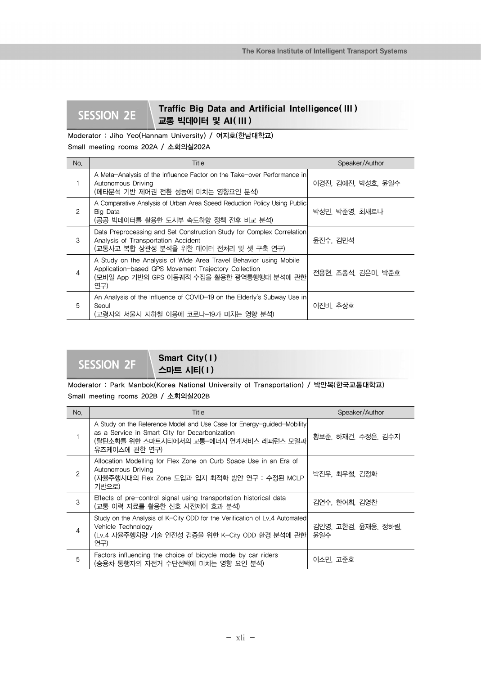## **SESSION 2E** Traffic Big Data and Artificial Intelligence(III) 교통 빅데이터 및 AI( III )

## Moderator : Jiho Yeo(Hannam University) / 여지호(한남대학교)

Small meeting rooms 202A / 소회의실202A

| No.           | Title                                                                                                                                                                           | Speaker/Author     |
|---------------|---------------------------------------------------------------------------------------------------------------------------------------------------------------------------------|--------------------|
|               | A Meta-Analysis of the Influence Factor on the Take-over Performance in<br>Autonomous Driving<br>(메타분석 기반 제어권 전환 성능에 미치는 영향요인 분석)                                               | 이경진, 김예진, 박성호, 윤일수 |
| $\mathcal{P}$ | A Comparative Analysis of Urban Area Speed Reduction Policy Using Public<br>Big Data<br>(공공 빅데이터를 활용한 도시부 속도하향 정책 전후 비교 분석)                                                     | 박성민, 박준영, 최새로나     |
| 3             | Data Preprocessing and Set Construction Study for Complex Correlation<br>Analysis of Transportation Accident<br>(교통사고 복합 상관성 분석을 위한 데이터 전처리 및 셋 구축 연구)                          | 윤진수, 김민석           |
| 4             | A Study on the Analysis of Wide Area Travel Behavior using Mobile<br>Application-based GPS Movement Trajectory Collection<br>(모바일 App 기반의 GPS 이동궤적 수집을 활용한 광역통행행태 분석에 관한<br>연구) | 전용현, 조종석, 김은미, 박준호 |
| 5             | An Analysis of the Influence of COVID-19 on the Elderly's Subway Use in<br>Seoul<br>(고령자의 서울시 지하철 이용에 코로나-19가 미치는 영향 분석)                                                        | 이진비. 추상호           |

## SESSION 2F Smart City(1) 스마트 시티( I )

Moderator : Park Manbok(Korea National University of Transportation) / 박만복(한국교통대학교) Small meeting rooms 202B / 소회의실202B

| No.           | Title                                                                                                                                                                                 | Speaker/Author             |
|---------------|---------------------------------------------------------------------------------------------------------------------------------------------------------------------------------------|----------------------------|
|               | A Study on the Reference Model and Use Case for Energy-guided-Mobility<br>as a Service in Smart City for Decarbonization<br>(탈탄소화를 위한 스마트시티에서의 교통-에너지 연계서비스 레퍼런스 모델과<br>유즈케이스에 관한 연구) | 황보준, 하재건, 주정은, 김수지         |
| $\mathcal{P}$ | Allocation Modelling for Flex Zone on Curb Space Use in an Era of<br>Autonomous Driving<br>(자율주행시대의 Flex Zone 도입과 입지 최적화 방안 연구 : 수정된 MCLP<br>기반으로)                                    | 박진우, 최우철, 김정화              |
| 3             | Effects of pre-control signal using transportation historical data<br>(교통 이력 자료를 활용한 신호 사전제어 효과 분석)                                                                                   | 김연수, 한여희, 김영찬              |
| 4             | Study on the Analysis of K-City ODD for the Verification of Lv.4 Automated<br>Vehicle Technology<br>(Lv.4 자율주행차량 기술 안전성 검증을 위한 K-City ODD 환경 분석에 관한<br>연구)                            | 김인영, 고한검, 윤재웅, 정하림,<br>윤일수 |
| 5             | Factors influencing the choice of bicycle mode by car riders<br>(승용차 통행자의 자전거 수단선택에 미치는 영향 요인 분석)                                                                                     | 이소민 고주호                    |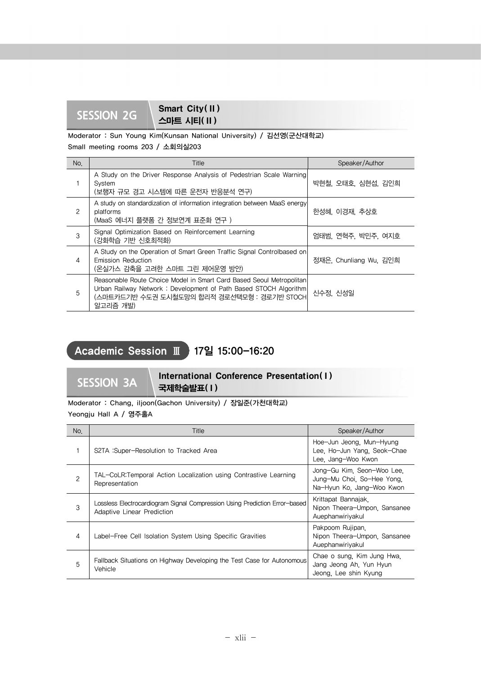## **Smart City(II)**<br>SESSION 2G 스마트 시티( II )

Moderator : Sun Young Kim(Kunsan National University) / 김선영(군산대학교) Small meeting rooms 203 / 소회의실203

| No. | Title                                                                                                                                                                                               | Speaker/Author        |
|-----|-----------------------------------------------------------------------------------------------------------------------------------------------------------------------------------------------------|-----------------------|
|     | A Study on the Driver Response Analysis of Pedestrian Scale Warning<br>System<br>(보행자 규모 경고 시스템에 따른 운전자 반응분석 연구)                                                                                    | 박현철, 오태호, 심현섭, 김인희    |
| 2   | A study on standardization of information integration between MaaS energy<br>platforms<br>(MaaS 에너지 플랫폼 간 정보연계 표준화 연구)                                                                              | 한성혜, 이경재, 추상호         |
| 3   | Signal Optimization Based on Reinforcement Learning<br>(강화학습 기반 신호최적화)                                                                                                                              | 엄태범, 연혁주, 박민주, 여지호    |
| 4   | A Study on the Operation of Smart Green Traffic Signal Controlbased on<br><b>Emission Reduction</b><br>(온실가스 감축을 고려한 스마트 그린 제어운영 방안)                                                                | 정재은 Chunliang Wu, 김인희 |
| 5   | Reasonable Route Choice Model in Smart Card Based Seoul Metropolitan<br>Urban Railway Network: Development of Path Based STOCH Algorithm<br>(스마트카드기반 수도권 도시철도망의 합리적 경로선택모형 : 경로기반 STOCH<br>알고리즘 개발) | 신수정. 신성일              |

## Academic Session Ⅲ 17일 15:00-16:20

SESSION 3A **International Conference Presentation(1)** 국제학술발표( I )

Moderator : Chang, iljoon(Gachon University) / 장일준(가천대학교) Yeongju Hall A / 영주홀A

| No.            | Title                                                                                                    | Speaker/Author                                                                        |
|----------------|----------------------------------------------------------------------------------------------------------|---------------------------------------------------------------------------------------|
|                | S2TA : Super-Resolution to Tracked Area                                                                  | Hoe-Jun Jeong, Mun-Hyung<br>Lee. Ho-Jun Yang. Seok-Chae<br>Lee, Jang-Woo Kwon         |
| $\overline{c}$ | TAL-CoLR:Temporal Action Localization using Contrastive Learning<br>Representation                       | Jong-Gu Kim. Seon-Woo Lee.<br>Jung-Mu Choi. So-Hee Yong.<br>Na-Hyun Ko, Jang-Woo Kwon |
| 3              | Lossless Electrocardiogram Signal Compression Using Prediction Error-based<br>Adaptive Linear Prediction | Krittapat Bannajak.<br>Nipon Theera-Umpon, Sansanee<br>Auephanwiriyakul               |
| 4              | Label-Free Cell Isolation System Using Specific Gravities                                                | Pakpoom Rujipan.<br>Nipon Theera-Umpon, Sansanee<br>Auephanwiriyakul                  |
| 5              | Fallback Situations on Highway Developing the Test Case for Autonomous<br>Vehicle                        | Chae o sung, Kim Jung Hwa.<br>Jang Jeong Ah. Yun Hyun<br>Jeong. Lee shin Kyung        |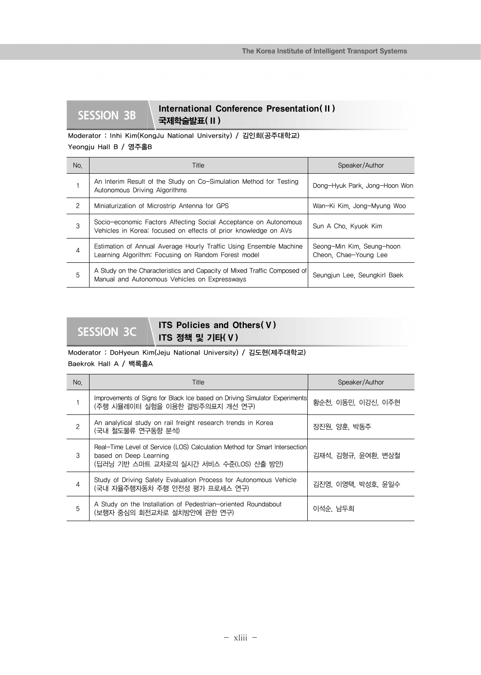## **SESSION 3B** International Conference Presentation(II) 국제학술발표( II )

## Moderator : Inhi Kim(KongJu National University) / 김인희(공주대학교) Yeongju Hall B / 영주홀B

| No. | Title                                                                                                                               | Speaker/Author                                     |
|-----|-------------------------------------------------------------------------------------------------------------------------------------|----------------------------------------------------|
|     | An Interim Result of the Study on Co-Simulation Method for Testing<br>Autonomous Driving Algorithms                                 | Dong-Hyuk Park, Jong-Hoon Won                      |
| 2   | Miniaturization of Microstrip Antenna for GPS                                                                                       | Wan-Ki Kim. Jong-Myung Woo                         |
| 3   | Socio-economic Factors Affecting Social Acceptance on Autonomous<br>Vehicles in Korea: focused on effects of prior knowledge on AVs | Sun A Cho. Kyuok Kim                               |
| 4   | Estimation of Annual Average Hourly Traffic Using Ensemble Machine<br>Learning Algorithm: Focusing on Random Forest model           | Seong-Min Kim. Seung-hoon<br>Cheon. Chae-Young Lee |
| 5   | A Study on the Characteristics and Capacity of Mixed Traffic Composed of<br>Manual and Autonomous Vehicles on Expressways           | Seungjun Lee. Seungkirl Baek                       |

## **SESSION 3C ITS Policies and Others(V)** ITS 정책 및 기타( V )

## Moderator : DoHyeun Kim(Jeju National University) / 김도현(제주대학교)

Baekrok Hall A / 백록홀A

| No. | Title                                                                                                                                           | Speaker/Author     |
|-----|-------------------------------------------------------------------------------------------------------------------------------------------------|--------------------|
|     | Improvements of Signs for Black Ice based on Driving Simulator Experiments<br>(주행 시뮬레이터 실험을 이용한 결빙주의표지 개선 연구)                                   | 황순천, 이동민, 이강신, 이주현 |
| 2   | An analytical study on rail freight research trends in Korea<br>(국내 철도물류 연구동향 분석)                                                               | 장진원, 양훈, 박동주       |
| 3   | Real-Time Level of Service (LOS) Calculation Method for Smart Intersection<br>based on Deep Learning<br>(딥러닝 기반 스마트 교차로의 실시간 서비스 수준(LOS) 산출 방안) | 김재석, 김형규, 윤여환, 변상철 |
| 4   | Study of Driving Safety Evaluation Process for Autonomous Vehicle<br>(국내 자율주행자동차 주행 안전성 평가 프로세스 연구)                                             | 김진영, 이영택, 박성호, 윤일수 |
| 5   | A Study on the Installation of Pedestrian-oriented Roundabout<br>(보행자 중심의 회전교차로 설치방안에 관한 연구)                                                    | 이석순. 남두희           |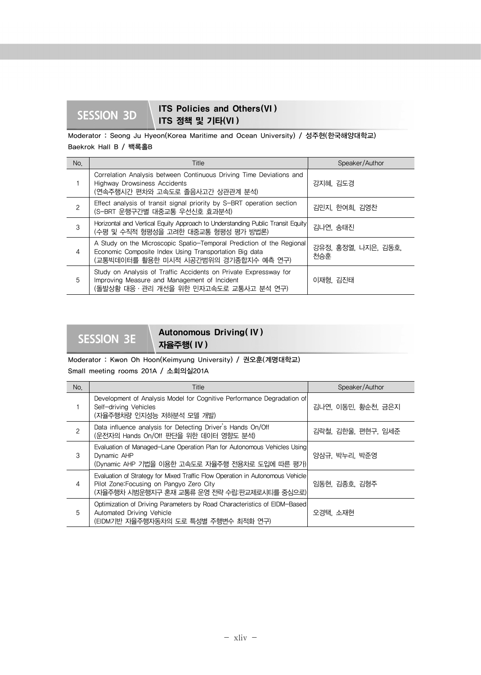## **SESSION 3D ITS Policies and Others(VI)** ITS 정책 및 기타(VI )

## Moderator : Seong Ju Hyeon(Korea Maritime and Ocean University) / 성주현(한국해양대학교) Baekrok Hall B / 백록홀B

| No.            | Title                                                                                                                                                                    | Speaker/Author             |
|----------------|--------------------------------------------------------------------------------------------------------------------------------------------------------------------------|----------------------------|
|                | Correlation Analysis between Continuous Driving Time Deviations and<br><b>Highway Drowsiness Accidents</b><br>(연속주행시간 편차와 고속도로 졸음사고간 상관관계 분석)                            | 강지혜, 김도경                   |
| $\mathcal{P}$  | Effect analysis of transit signal priority by S-BRT operation section<br>(S-BRT 운행구간별 대중교통 우선신호 효과분석)                                                                    | 김민지, 한여희, 김영찬              |
| 3              | Horizontal and Vertical Equity Approach to Understanding Public Transit Equity<br>(수평 및 수직적 형평성을 고려한 대중교통 형평성 평가 방법론)                                                    | 김나연, 송태진                   |
| $\overline{4}$ | A Study on the Microscopic Spatio-Temporal Prediction of the Regional<br>Economic Composite Index Using Transportation Big data<br>(교통빅데이터를 활용한 미시적 시공간범위의 경기종합지수 예측 연구) | 강유정, 홍정열, 나지은, 김동호,<br>천승훈 |
| 5              | Study on Analysis of Traffic Accidents on Private Expressway for<br>Improving Measure and Management of Incident<br>(돌발상황 대응·관리 개선을 위한 민자고속도로 교통사고 분석 연구)                | 이재형, 김진태                   |

## SESSION 3E **Autonomous Driving(IV)** 자율주행( IV )

### Moderator : Kwon Oh Hoon(Keimyung University) / 권오훈(계명대학교)

Small meeting rooms 201A / 소회의실201A

| No.            | Title                                                                                                                                                                    | Speaker/Author     |
|----------------|--------------------------------------------------------------------------------------------------------------------------------------------------------------------------|--------------------|
|                | Development of Analysis Model for Cognitive Performance Degradation of<br>Self-driving Vehicles<br>(자율주행차량 인지성능 저하분석 모델 개발)                                              | 김나연, 이동민, 황순천, 금은지 |
| $\overline{c}$ | Data influence analysis for Detecting Driver's Hands On/Off<br>(운전자의 Hands On/Off 판단을 위한 데이터 영향도 분석)                                                                     | 김락철, 김한울, 편현구, 임세준 |
| 3              | Evaluation of Managed-Lane Operation Plan for Autonomous Vehicles Using<br>Dynamic AHP<br>(Dynamic AHP 기법을 이용한 고속도로 자율주행 전용차로 도입에 따른 평가)                                 | 양삼규, 박누리, 박준영      |
| $\overline{4}$ | Evaluation of Strategy for Mixed Traffic Flow Operation in Autonomous Vehicle<br>Pilot Zone: Focusing on Pangyo Zero City<br>(자율주행차 시범운행지구 혼재 교통류 운영 전략 수립:판교제로시티를 중심으로) | 임동현, 김종호, 김형주      |
| 5              | Optimization of Driving Parameters by Road Characteristics of EIDM-Based<br>Automated Driving Vehicle<br>(EIDM기반 자율주행자동차의 도로 특성별 주행변수 최적화 연구)                            | 오경택 소재현            |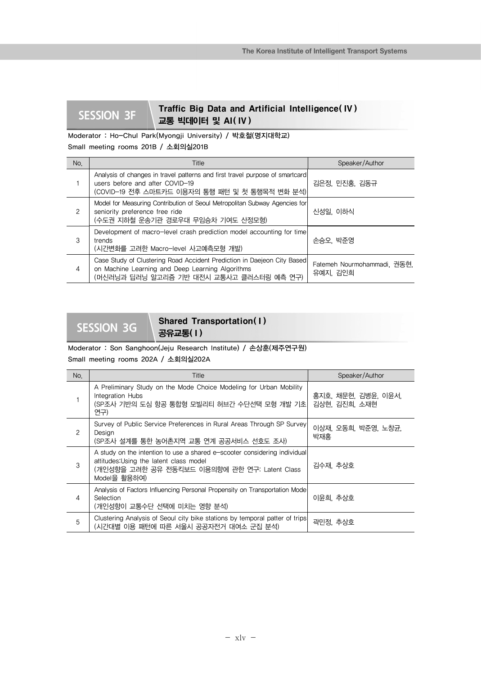## **SESSION 3F Traffic Big Data and Artificial Intelligence(IV)** 교통 빅데이터 및 AI( IV )

Moderator : Ho-Chul Park(Myongji University) / 박호철(명지대학교) Small meeting rooms 201B / 소회의실201B

| No. | Title                                                                                                                                                                   | Speaker/Author                          |
|-----|-------------------------------------------------------------------------------------------------------------------------------------------------------------------------|-----------------------------------------|
|     | Analysis of changes in travel patterns and first travel purpose of smartcard<br>users before and after COVID-19<br>(COVID-19 전후 스마트카드 이용자의 통행 패턴 및 첫 통행목적 변화 분석)        | 김은정, 민진홍, 김동규                           |
| 2   | Model for Measuring Contribution of Seoul Metropolitan Subway Agencies for<br>seniority preference free ride<br>(수도권 지하철 운송기관 경로우대 무임승차 기여도 산정모형)                       | 신성일, 이하식                                |
| 3   | Development of macro-level crash prediction model accounting for time<br>trends<br>(시간변화를 고려한 Macro-level 사고예측모형 개발)                                                    | 손승오, 박준영                                |
| 4   | Case Study of Clustering Road Accident Prediction in Daejeon City Based<br>on Machine Learning and Deep Learning Algorithms<br>(머신러닝과 딥러닝 알고리즘 기반 대전시 교통사고 클러스터링 예측 연구) | Fatemeh Nourmohammadi. 권동현.<br>유예지, 김인희 |

## Shared Transportation(1) 공유교통( I )

Moderator : Son Sanghoon(Jeju Research Institute) / 손상훈(제주연구원)

Small meeting rooms 202A / 소회의실202A

| No.                  | Title                                                                                                                                                                                 | Speaker/Author                       |
|----------------------|---------------------------------------------------------------------------------------------------------------------------------------------------------------------------------------|--------------------------------------|
|                      | A Preliminary Study on the Mode Choice Modeling for Urban Mobility<br>Integration Hubs<br>(SP조사 기반의 도심 항공 통합형 모빌리티 허브간 수단선택 모형 개발 기초 <br>연구)                                          | 홍지호, 채문현, 김병윤, 이윤서,<br>김상현, 김진희, 소재현 |
| $\mathbf{2}^{\circ}$ | Survey of Public Service Preferences in Rural Areas Through SP Survey<br>Design<br>(SP조사 설계를 통한 농어촌지역 교통 연계 공공서비스 선호도 조사)                                                             | 이상재, 오동희, 박준영, 노창균,<br>박재홍           |
| 3                    | A study on the intention to use a shared e-scooter considering individual<br>attitudes: Using the latent class model<br>(개인성향을 고려한 공유 전동킥보드 이용의향에 관한 연구: Latent Class<br>Model을 활용하여) | 김수재, 추상호                             |
| 4                    | Analysis of Factors Influencing Personal Propensity on Transportation Mode<br>Selection<br>(개인성향이 교통수단 선택에 미치는 영향 분석)                                                                 | 이윤희, 추상호                             |
| 5                    | Clustering Analysis of Seoul city bike stations by temporal patter of trips<br>(시간대별 이용 패턴에 따른 서울시 공공자전거 대여소 군집 분석)                                                                   | 곽민정, 추상호                             |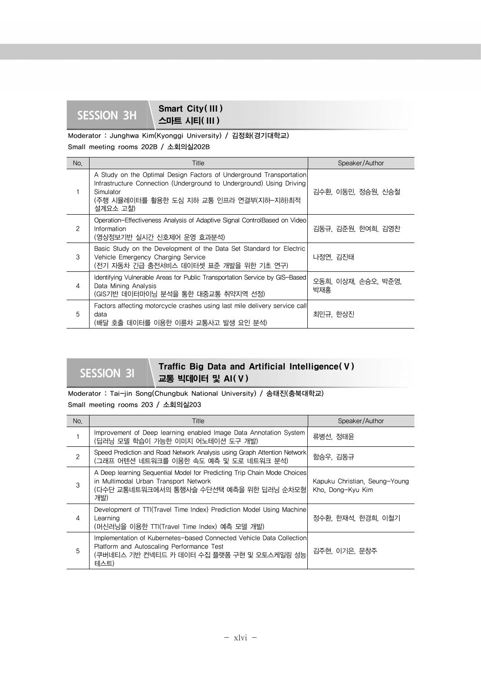## **SESSION 3H** Smart City( III) 스마트 시티( III )

Moderator : Junghwa Kim(Kyonggi University) / 김정화(경기대학교)

Small meeting rooms 202B / 소회의실202B

| No.            | Title                                                                                                                                                                                                            | Speaker/Author             |
|----------------|------------------------------------------------------------------------------------------------------------------------------------------------------------------------------------------------------------------|----------------------------|
|                | A Study on the Optimal Design Factors of Underground Transportation<br>Infrastructure Connection (Underground to Underground) Using Driving<br>Simulator<br>(주행 시뮬레이터를 활용한 도심 지하 교통 인프라 연결부(지하-지하)최적<br>설계요소 고찰) | 김수환, 이동민, 정승원, 신승철         |
| $\overline{c}$ | Operation–Effectiveness Analysis of Adaptive Signal ControlBased on Video<br>Information<br>(영상정보기반 실시간 신호제어 운영 효과분석)                                                                                            | 김동규, 김준원, 한여희, 김영찬         |
| 3              | Basic Study on the Development of the Data Set Standard for Electric<br>Vehicle Emergency Charging Service<br>(전기 자동차 긴급 충전서비스 데이터셋 표준 개발을 위한 기초 연구)                                                             | 나정연, 김진태                   |
| 4              | Identifying Vulnerable Areas for Public Transportation Service by GIS-Based<br>Data Mining Analysis<br>(GIS기반 데이터마이닝 분석을 통한 대중교통 취약지역 선정)                                                                        | 오동희, 이상재, 손승오, 박준영,<br>박재홍 |
| 5              | Factors affecting motorcycle crashes using last mile delivery service call<br>data<br>(배달 호출 데이터를 이용한 이륜차 교통사고 발생 요인 분석)                                                                                         | 최민규, 한상진                   |

## **SESSION 3I Traffic Big Data and Artificial Intelligence(V)** 교통 빅데이터 및 AI( V )

Moderator : Tai-jin Song(Chungbuk National University) / 송태진(충북대학교) Small meeting rooms 203 / 소회의실203

| No.            | Title                                                                                                                                                                   | Speaker/Author                                     |
|----------------|-------------------------------------------------------------------------------------------------------------------------------------------------------------------------|----------------------------------------------------|
|                | Improvement of Deep learning enabled Image Data Annotation System<br>(딥러닝 모델 학습이 가능한 이미지 어노테이션 도구 개발)                                                                   | 류병선, 정태윤                                           |
| 2              | Speed Prediction and Road Network Analysis using Graph Attention Network<br>(그래프 어텐션 네트워크를 이용한 속도 예측 및 도로 네트워크 분석)                                                      | 함승우, 김동규                                           |
| 3              | A Deep learning Sequential Model for Predicting Trip Chain Mode Choices<br>in Multimodal Urban Transport Network<br>(다수단 교통네트워크에서의 통행사슬 수단선택 예측을 위한 딥러닝 순차모형<br>개발)     | Kapuku Christian, Seung-Young<br>Kho. Dong-Kyu Kim |
| $\overline{4}$ | Development of TTI(Travel Time Index) Prediction Model Using Machine<br>Learning<br>(머신러닝을 이용한 TTI(Travel Time Index) 예측 모델 개발)                                         | 정수환, 한재석, 한경희, 이철기                                 |
| 5              | Implementation of Kubernetes-based Connected Vehicle Data Collection<br>Platform and Autoscaling Performance Test<br>(쿠버네티스 기반 컨넥티드 카 데이터 수집 플랫폼 구현 및 오토스케일링 성능<br>테스트) | 김주현, 이기은, 문창주                                      |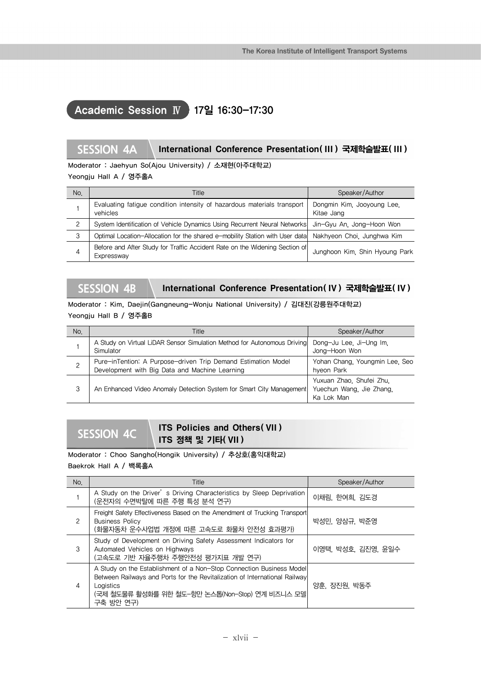## Academic Session Ⅳ 17일 16:30-17:30

## **SESSION 4A** International Conference Presentation( III ) 국제학술발표( III )

Moderator : Jaehyun So(Ajou University) / 소재현(아주대학교)

### Yeongju Hall A / 영주홀A

| No. | Title                                                                                     | Speaker/Author                           |
|-----|-------------------------------------------------------------------------------------------|------------------------------------------|
|     | Evaluating fatigue condition intensity of hazardous materials transport<br>vehicles       | Dongmin Kim, Jooyoung Lee.<br>Kitae Jang |
| 2   | System Identification of Vehicle Dynamics Using Recurrent Neural Networks                 | Jin-Gyu An. Jong-Hoon Won                |
| 3   | Optimal Location-Allocation for the shared e-mobility Station with User data              | Nakhyeon Choi, Junghwa Kim               |
| 4   | Before and After Study for Traffic Accident Rate on the Widening Section of<br>Expressway | Junghoon Kim. Shin Hyoung Park           |

## **SESSION 4B** International Conference Presentation( IV ) 국제학술발표( IV )

Moderator : Kim, Daejin(Gangneung-Wonju National University) / 김대진(강릉원주대학교) Yeongju Hall B / 영주홀B

| No. | Title                                                                                                           | Speaker/Author                                                     |
|-----|-----------------------------------------------------------------------------------------------------------------|--------------------------------------------------------------------|
|     | A Study on Virtual LiDAR Sensor Simulation Method for Autonomous Driving<br>Simulator                           | Dong-Ju Lee, Ji-Ung Im.<br>Jong-Hoon Won                           |
| ◠   | Pure-inTention: A Purpose-driven Trip Demand Estimation Model<br>Development with Big Data and Machine Learning | Yohan Chang, Youngmin Lee, Seo<br>hyeon Park                       |
| 3   | An Enhanced Video Anomaly Detection System for Smart City Management                                            | Yuxuan Zhao, Shufei Zhu,<br>Yuechun Wang. Jie Zhang.<br>Ka Lok Man |

## **SESSION 4C ITS Policies and Others( VII )** ITS 정책 및 기타( VII )

Moderator : Choo Sangho(Hongik University) / 추상호(홍익대학교) Baekrok Hall A / 백록홀A

| No. | Title                                                                                                                                                                                                                           | Speaker/Author     |
|-----|---------------------------------------------------------------------------------------------------------------------------------------------------------------------------------------------------------------------------------|--------------------|
|     | A Study on the Driver's Driving Characteristics by Sleep Deprivation<br>(운전자의 수면박탈에 따른 주행 특성 분석 연구)                                                                                                                             | 이채림, 한여희, 김도경      |
| 2   | Freight Safety Effectiveness Based on the Amendment of Trucking Transport<br><b>Business Policy</b><br>(화물자동차 운수사업법 개정에 따른 고속도로 화물차 안전성 효과평가)                                                                                   | 박성민, 양삼규, 박준영      |
| 3   | Study of Development on Driving Safety Assessment Indicators for<br>Automated Vehicles on Highways<br>(고속도로 기반 자율주행차 주행안전성 평가지표 개발 연구)                                                                                          | 이영택, 박성호, 김진영, 윤일수 |
| 4   | A Study on the Establishment of a Non-Stop Connection Business Model<br>Between Railways and Ports for the Revitalization of International Railway<br>Logistics<br>(국제 철도물류 활성화를 위한 철도-항만 논스톱(Non-Stop) 연계 비즈니스 모델<br>구축 방안 연구) | 양훈, 장진원, 박동주       |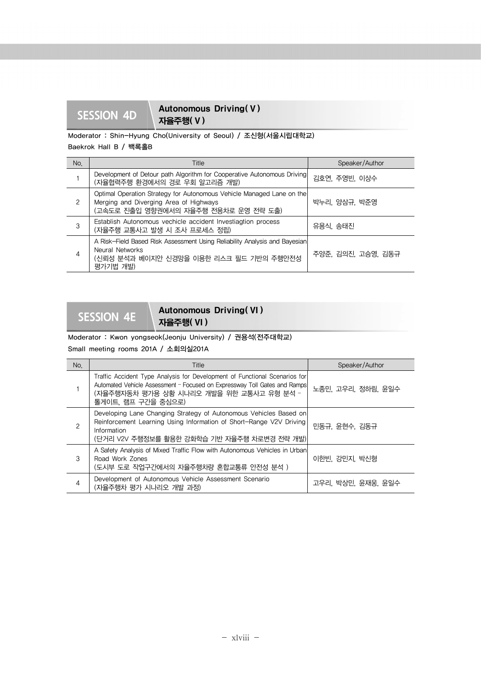SESSION 4D **Autonomous Driving(V)** 자율주행( V )

Moderator : Shin-Hyung Cho(University of Seoul) / 조신형(서울시립대학교)

Baekrok Hall B / 백록홀B

| No.           | Title                                                                                                                                                   | Speaker/Author     |
|---------------|---------------------------------------------------------------------------------------------------------------------------------------------------------|--------------------|
|               | Development of Detour path Algorithm for Cooperative Autonomous Driving<br>(자율협력주행 환경에서의 경로 우회 알고리즘 개발)                                                 | 김호연, 주영빈, 이상수      |
| $\mathcal{P}$ | Optimal Operation Strategy for Autonomous Vehicle Managed Lane on the<br>Merging and Diverging Area of Highways<br>(고속도로 진출입 영향권에서의 자율주행 전용차로 운영 전략 도출) | 박누리, 양삼규, 박준영      |
| 3             | Establish Autonomous vechicle accident Investiagtion process<br>(자율주행 교통사고 발생 시 조사 프로세스 정립)                                                             | 유용식, 송태진           |
| 4             | A Risk-Field Based Risk Assessment Using Reliability Analysis and Bayesian<br>Neural Networks<br>(신뢰성 분석과 베이지안 신경망을 이용한 리스크 필드 기반의 주행안전성<br>평가기법 개발)    | 주양준, 김의진, 고승영, 김동규 |

## SESSION 4E **Autonomous Driving( VI)** 자율주행( VI )

Moderator : Kwon yongseok(Jeonju University) / 권용석(전주대학교) Small meeting rooms 201A / 소회의실201A

| No.           | Title                                                                                                                                                                                                                     | Speaker/Author     |
|---------------|---------------------------------------------------------------------------------------------------------------------------------------------------------------------------------------------------------------------------|--------------------|
|               | Traffic Accident Type Analysis for Development of Functional Scenarios for<br>Automated Vehicle Assessment - Focused on Expressway Toll Gates and Ramps<br>(자율주행자동차 평가용 상황 시나리오 개발을 위한 교통사고 유형 분석 -<br>톨게이트, 램프 구간을 중심으로) | 노종민, 고우리, 정하림, 윤일수 |
| $\mathcal{P}$ | Developing Lane Changing Strategy of Autonomous Vehicles Based on<br>Reinforcement Learning Using Information of Short-Range V2V Driving<br>Information<br>(단거리 V2V 주행정보를 활용한 강화학습 기반 자율주행 차로변경 전략 개발)                    | 민동규, 윤현수, 김동규      |
| 3             | A Safety Analysis of Mixed Traffic Flow with Autonomous Vehicles in Urban<br>Road Work Zones<br>(도시부 도로 작업구간에서의 자율주행차량 혼합교통류 안전성 분석 )                                                                                     | 이한빈, 강민지, 박신형      |
| 4             | Development of Autonomous Vehicle Assessment Scenario<br>(자율주행차 평가 시나리오 개발 과정)                                                                                                                                            | 고우리, 박상민, 윤재웅, 윤일수 |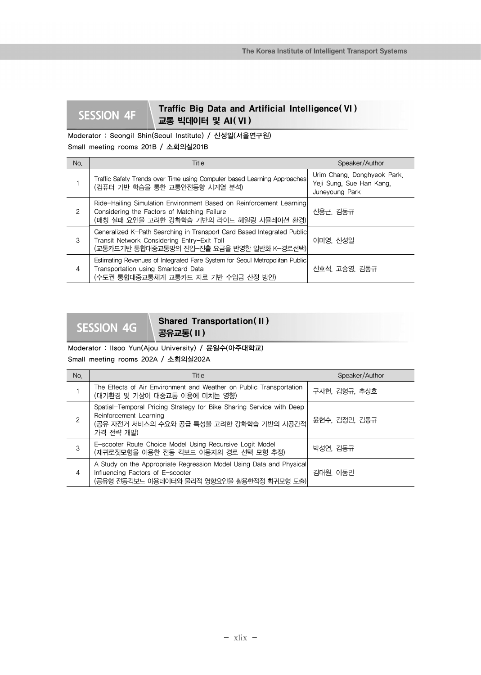## **SESSION 4F** Traffic Big Data and Artificial Intelligence( VI) 교통 빅데이터 및 AI( VI )

Moderator : Seongil Shin(Seoul Institute) / 신성일(서울연구원) Small meeting rooms 201B / 소회의실201B

| No.           | Title                                                                                                                                                               | Speaker/Author                                                            |
|---------------|---------------------------------------------------------------------------------------------------------------------------------------------------------------------|---------------------------------------------------------------------------|
|               | Traffic Safety Trends over Time using Computer based Learning Approaches<br>(컴퓨터 기반 학습을 통한 교통안전동향 시계열 분석)                                                           | Urim Chang. Donghyeok Park.<br>Yeji Sung, Sue Han Kang,<br>Juneyoung Park |
| $\mathcal{P}$ | Ride-Hailing Simulation Environment Based on Reinforcement Learning<br>Considering the Factors of Matching Failure<br>(매칭 실패 요인을 고려한 강화학습 기반의 라이드 헤일링 시뮬레이션 환경)     | 신용근, 김동규                                                                  |
| 3             | Generalized K-Path Searching in Transport Card Based Integrated Public<br>Transit Network Considering Entry-Exit Toll<br>(교통카드기반 통합대중교통망의 진입-진출 요금을 반영한 일반화 K-경로선택) | 이미영, 신성일                                                                  |
| 4             | Estimating Revenues of Integrated Fare System for Seoul Metropolitan Public<br>Transportation using Smartcard Data<br>(수도권 통합대중교통체계 교통카드 자료 기반 수입금 산정 방안)           | 신호석, 고승영, 김동규                                                             |

## Shared Transportation( II )<br>SESSION 4G 공유교통( II )

Moderator : Ilsoo Yun(Ajou University) / 윤일수(아주대학교) Small meeting rooms 202A / 소회의실202A

| No. | Title                                                                                                                                                    | Speaker/Author |
|-----|----------------------------------------------------------------------------------------------------------------------------------------------------------|----------------|
|     | The Effects of Air Environment and Weather on Public Transportation<br>(대기환경 및 기상이 대중교통 이용에 미치는 영향)                                                      | 구자헌, 김형규, 추상호  |
| 2   | Spatial-Temporal Pricing Strategy for Bike Sharing Service with Deep<br>Reinforcement Learning<br>(공유 자전거 서비스의 수요와 공급 특성을 고려한 강화학습 기반의 시공간적<br>가격 전략 개발) | 윤현수, 김정민, 김동규  |
| 3   | E-scooter Route Choice Model Using Recursive Logit Model<br>(재귀로짓모형을 이용한 전동 킥보드 이용자의 경로 선택 모형 추정)                                                        | 박성연, 김동규       |
| 4   | A Study on the Appropriate Regression Model Using Data and Physical<br>Influencing Factors of E-scooter<br>(공유형 전동킥보드 이용데이터와 물리적 영향요인을 활용한적정 회귀모형 도출)    | 김대원. 이동민       |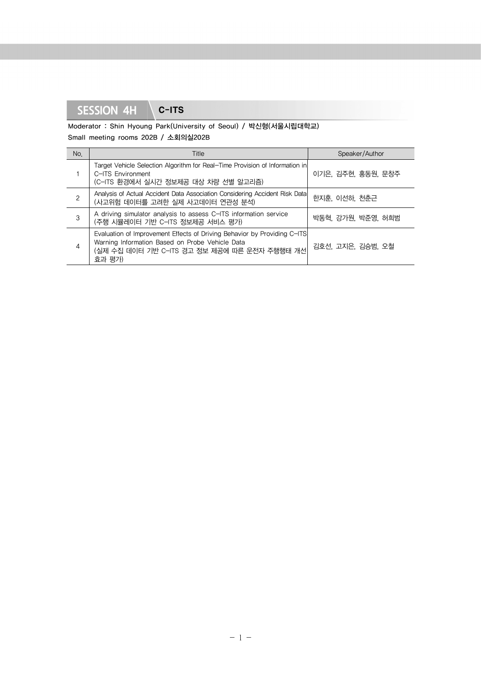Moderator : Shin Hyoung Park(University of Seoul) / 박신형(서울시립대학교) Small meeting rooms 202B / 소회의실202B

| No. | Title                                                                                                                                                                                 | Speaker/Author     |
|-----|---------------------------------------------------------------------------------------------------------------------------------------------------------------------------------------|--------------------|
|     | Target Vehicle Selection Algorithm for Real-Time Provision of Information in<br>C-ITS Environment<br>(C-ITS 환경에서 실시간 정보제공 대상 차량 선별 알고리즘)                                              | 이기은, 김주현, 홍동원, 문창주 |
| 2   | Analysis of Actual Accident Data Association Considering Accident Risk Data<br>(사고위험 데이터를 고려한 실제 사고데이터 연관성 분석)                                                                        | 한지훈, 이선하, 천춘근      |
| 3   | A driving simulator analysis to assess C-ITS information service<br>(주행 시뮬레이터 기반 C-ITS 정보제공 서비스 평가)                                                                                   | 박동혁, 강가원, 박준영, 허희범 |
| 4   | Evaluation of Improvement Effects of Driving Behavior by Providing C-ITS<br>Warning Information Based on Probe Vehicle Data<br>(실제 수집 데이터 기반 C-ITS 경고 정보 제공에 따른 운전자 주행행태 개선<br>효과 평가) | 김호선, 고지은, 김승범, 오철  |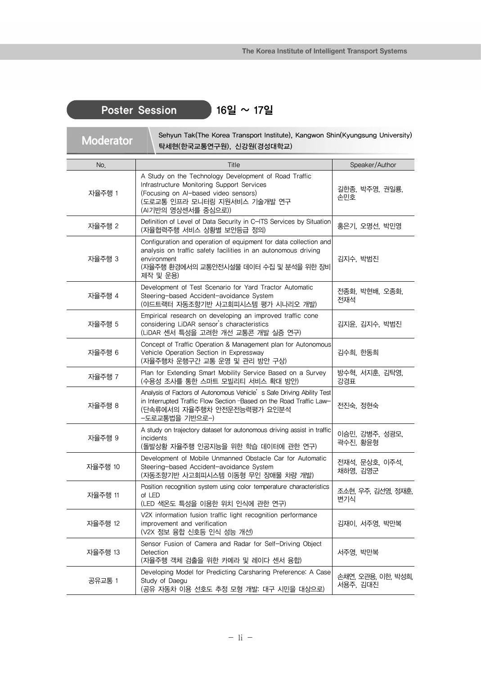## Poster Session 16일 ~ 17일

Sehyun Tak(The Korea Transport Institute), Kangwon Shin(Kyungsung University)<br>
EHIMB(SH) ALTRICAMERIA) 탁세현(한국교통연구원), 신강원(경성대학교)

| No.     | Title                                                                                                                                                                                                   | Speaker/Author                 |
|---------|---------------------------------------------------------------------------------------------------------------------------------------------------------------------------------------------------------|--------------------------------|
| 자율주행 1  | A Study on the Technology Development of Road Traffic<br>Infrastructure Monitoring Support Services<br>(Focusing on AI-based video sensors)<br>(도로교통 인프라 모니터링 지원서비스 기술개발 연구<br>(AI기반의 영상센서를 중심으로))      | 길한종, 박주영, 권일룡,<br>손민호          |
| 자율주행 2  | Definition of Level of Data Security in C-ITS Services by Situation<br>(자율협력주행 서비스 상황별 보안등급 정의)                                                                                                         | 홍은기, 오명선, 박민영                  |
| 자율주행 3  | Configuration and operation of equipment for data collection and<br>analysis on traffic safety facilities in an autonomous driving<br>environment<br>(자율주행 환경에서의 교통안전시설물 데이터 수집 및 분석을 위한 장비<br>제작 및 운용) | 김지수, 박범진                       |
| 자율주행 4  | Development of Test Scenario for Yard Tractor Automatic<br>Steering-based Accident-avoidance System<br>(야드트랙터 자동조향기반 사고회피시스템 평가 시나리오 개발)                                                                | 전종화, 박현배, 오종화,<br>전재석          |
| 자율주행 5  | Empirical research on developing an improved traffic cone<br>considering LiDAR sensor's characteristics<br>(LiDAR 센서 특성을 고려한 개선 교통콘 개발 실증 연구)                                                           | 김지윤, 김지수, 박범진                  |
| 자율주행 6  | Concept of Traffic Operation & Management plan for Autonomous<br>Vehicle Operation Section in Expressway<br>(자율주행차 운행구간 교통 운영 및 관리 방안 구상)                                                               | 김수희, 한동희                       |
| 자율주행 7  | Plan for Extending Smart Mobility Service Based on a Survey<br>(수용성 조사를 통한 스마트 모빌리티 서비스 확대 방안)                                                                                                          | 방수혁, 서지훈, 김탁영,<br>강경표          |
| 자율주행 8  | Analysis of Factors of Autonomous Vehicle's Safe Driving Ability Test<br>in Interrupted Traffic Flow Section - Based on the Road Traffic Law-<br>(단속류에서의 자율주행차 안전운전능력평가 요인분석<br>-도로교통법을 기반으로-)          | 전진숙, 정현숙                       |
| 자율주행 9  | A study on trajectory dataset for autonomous driving assist in traffic<br>incidents<br>(돌발상황 자율주행 인공지능을 위한 학습 데이터에 관한 연구)                                                                               | 이승민, 강병주, 성광모,<br>곽수진, 황윤형     |
| 자율주행 10 | Development of Mobile Unmanned Obstacle Car for Automatic<br>Steering-based Accident-avoidance System<br>(자동조향기반 사고회피시스템 이동형 무인 장애물 차량 개발)                                                              | 전재석, 문상호, 이주석,<br>채하영, 김영군     |
| 자율주행 11 | Position recognition system using color temperature characteristics<br>of LED<br>(LED 색온도 특성을 이용한 위치 인식에 관한 연구)                                                                                         | 조소현, 우주, 김선영, 정재훈,<br>변기식      |
| 자율주행 12 | V2X information fusion traffic light recognition performance<br>improvement and verification<br>(V2X 정보 융합 신호등 인식 성능 개선)                                                                                | 김재이, 서주영, 박만복                  |
| 자율주행 13 | Sensor Fusion of Camera and Radar for Self-Driving Object<br>Detection<br>(자율주행 객체 검출을 위한 카메라 및 레이다 센서 융합)                                                                                              | 서주영, 박만복                       |
| 공유교통 1  | Developing Model for Predicting Carsharing Preference: A Case<br>Study of Daegu<br>(공유 자동차 이용 선호도 추정 모형 개발: 대구 시민을 대상으로)                                                                                | 손채연, 오관용, 이한, 박성희,<br>서용주, 김대진 |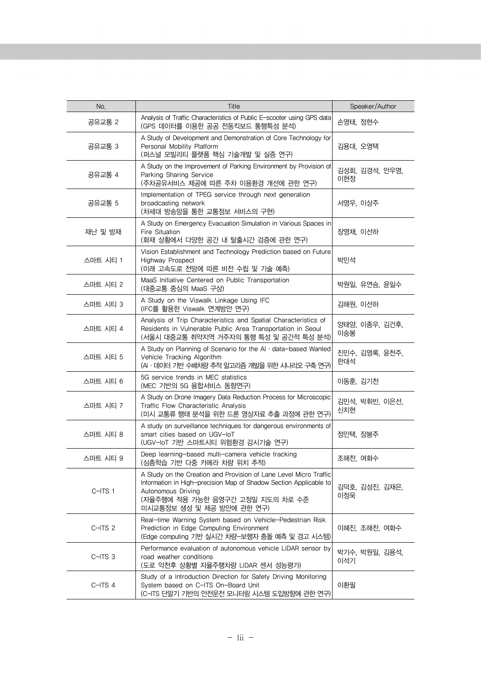| No.      | Title                                                                                                                                                                                                                         | Speaker/Author        |
|----------|-------------------------------------------------------------------------------------------------------------------------------------------------------------------------------------------------------------------------------|-----------------------|
| 공유교통 2   | Analysis of Traffic Characteristics of Public E-scooter using GPS data<br>(GPS 데이터를 이용한 공공 전동킥보드 통행특성 분석)                                                                                                                     | 손영태, 정현수              |
| 공유교통 3   | A Study of Development and Demonstration of Core Technology for<br>Personal Mobility Platform<br>(퍼스널 모빌리티 플랫폼 핵심 기술개발 및 실증 연구)                                                                                               | 김용대, 오영택              |
| 공유교통 4   | A Study on the Improvement of Parking Environment by Provision of<br>Parking Sharing Service<br>(주차공유서비스 제공에 따른 주차 이용환경 개선에 관한 연구)                                                                                            | 김성회, 김경석, 안우영,<br>이현정 |
| 공유교통 5   | Implementation of TPEG service through next generation<br>broadcasting network<br>(차세대 방송망을 통한 교통정보 서비스의 구현)                                                                                                                  | 서영우, 이상주              |
| 재난 및 방재  | A Study on Emergency Evacuation Simulation in Various Spaces in<br>Fire Situation<br>(화재 상황에서 다양한 공간 내 탈출시간 검증에 관한 연구)                                                                                                        | 장영채, 이선하              |
| 스마트 시티 1 | Vision Establishment and Technology Prediction based on Future<br><b>Highway Prospect</b><br>(미래 고속도로 전망에 따른 비전 수립 및 기술 예측)                                                                                                   | 박민석                   |
| 스마트 시티 2 | MaaS Initiative Centered on Public Transportation<br>(대중교통 중심의 MaaS 구상)                                                                                                                                                       | 박원일, 유연승, 윤일수         |
| 스마트 시티 3 | A Study on the Viswalk Linkage Using IFC<br>(IFC를 활용한 Viswalk 연계방안 연구)                                                                                                                                                        | 김해원, 이선하              |
| 스마트 시티 4 | Analysis of Trip Characteristics and Spatial Characteristics of<br>Residents in Vulnerable Public Area Transportation in Seoul<br>(서울시 대중교통 취약지역 거주자의 통행 특성 및 공간적 특성 분석)                                                      | 양태양, 이종우, 김건후,<br>이숭봉 |
| 스마트 시티 5 | A Study on Planning of Scenario for the $AI \cdot data$ -based Wanted<br>Vehicle Tracking Algorithm<br>(A · 데이터 기반 수배치량 추적 알고리즘 개발을 위한 시나리오 구축 연구)                                                                            | 진민수, 김영록, 윤천주,<br>한대석 |
| 스마트 시티 6 | 5G service trends in MEC statistics<br>(MEC 기반의 5G 융합서비스 동향연구)                                                                                                                                                                | 이동훈, 김기천              |
| 스마트 시티 7 | A Study on Drone Imagery Data Reduction Process for Microscopic<br>Traffic Flow Characteristic Analysis<br>(미시 교통류 행태 분석을 위한 드론 영상자료 추출 과정에 관한 연구)                                                                            | 김민석, 박휘빈, 이은선,<br>신치현 |
| 스마트 시티 8 | A study on surveillance techniques for dangerous environments of<br>smart cities based on UGV-loT<br>(UGV-IoT 기반 스마트시티 위험환경 감시기술 연구)                                                                                          | 정인택, 장봉주              |
| 스마트 시티 9 | Deep learning-based multi-camera vehicle tracking<br>(심층학습 기반 다중 카메라 차량 위치 추적)                                                                                                                                                | 조해찬, 여화수              |
| $C-1TS1$ | A Study on the Creation and Provision of Lane Level Micro Traffic<br>Information in High-precision Map of Shadow Section Applicable to<br>Autonomous Driving<br>(자율주행에 적용 가능한 음영구간 고정밀 지도의 차로 수준<br>미시교통정보 생성 및 제공 방안에 관한 연구) | 김덕호, 김성진, 김재은,<br>이정욱 |
| C-ITS 2  | Real-time Warning System based on Vehicle-Pedestrian Risk<br>Prediction in Edge Computing Environment<br>(Edge computing 기반 실시간 차량-보행자 충돌 예측 및 경고 시스템)                                                                        | 이혜진, 조해찬, 여화수         |
| C-ITS 3  | Performance evaluation of autonomous vehicle LiDAR sensor by<br>road weather conditions<br>(도로 악천후 상황별 자율주행차량 LiDAR 센서 성능평가)                                                                                                  | 박기수, 박원일, 김용석,<br>이석기 |
| C-ITS 4  | Study of a Introduction Direction for Safety Driving Monitoring<br>System based on C-ITS On-Board Unit<br>(C-ITS 단말기 기반의 안전운전 모니터링 시스템 도입방향에 관한 연구)                                                                           | 이환필                   |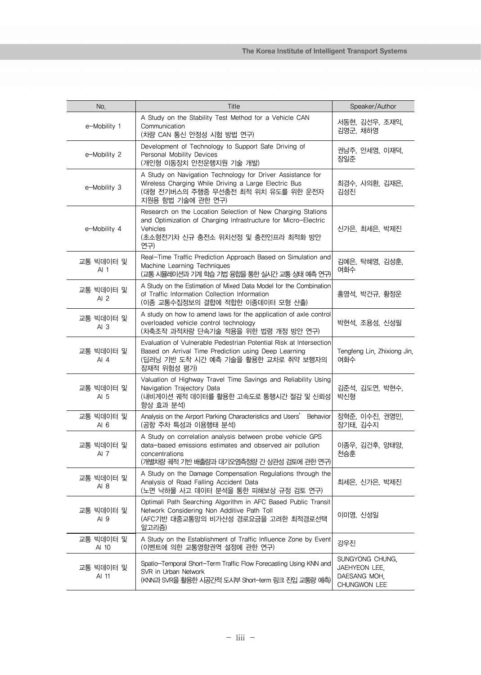| No.                          | Title                                                                                                                                                                                  | Speaker/Author                                                   |
|------------------------------|----------------------------------------------------------------------------------------------------------------------------------------------------------------------------------------|------------------------------------------------------------------|
| e-Mobility 1                 | A Study on the Stability Test Method for a Vehicle CAN<br>Communication<br>(차량 CAN 통신 안정성 시험 방법 연구)                                                                                    | 서동현, 김선우, 조재익,<br>김영군, 채하영                                       |
| e-Mobility 2                 | Development of Technology to Support Safe Driving of<br>Personal Mobility Devices<br>(개인형 이동장치 안전운행지원 기술 개발)                                                                           | 권남주, 안세영, 이재덕,<br>장일준                                            |
| e-Mobility 3                 | A Study on Navigation Technology for Driver Assistance for<br>Wireless Charging While Driving a Large Electric Bus<br>(대형 전기버스의 주행중 무선충전 최적 위치 유도를 위한 운전자<br>지원용 항법 기술에 관한 연구)         | 최경수, 사의환, 김재은,<br>김성진                                            |
| e-Mobility 4                 | Research on the Location Selection of New Charging Stations<br>and Optimization of Charging Infrastructure for Micro-Electric<br>Vehicles<br>(초소형전기차 신규 충전소 위치선정 및 충전인프라 최적화 방안<br>연구) | 신가은, 최세은, 박제진                                                    |
| 교통 빅데이터 및<br>AI <sub>1</sub> | Real-Time Traffic Prediction Approach Based on Simulation and<br>Machine Learning Techniques<br>(교통 시뮬레이션과 기계 학습 기법 융합을 통한 실시간 교통 상태 예측 연구)                                            | 김예은, 탁혜영, 김성훈,<br>여화수                                            |
| 교통 빅데이터 및<br>AI $2$          | A Study on the Estimation of Mixed Data Model for the Combination<br>of Traffic Information Collection Information<br>(이종 교통수집정보의 결합에 적합한 이종데이터 모형 산출)                                 | 홍영석, 박건규, 황정운                                                    |
| 교통 빅데이터 및<br>AI <sub>3</sub> | A study on how to amend laws for the application of axle control<br>overloaded vehicle control technology<br>(차축조작 과적차량 단속기술 적용을 위한 법령 개정 방안 연구)                                       | 박현석, 조용성, 신성필                                                    |
| 교통 빅데이터 및<br>AI 4            | Evaluation of Vulnerable Pedestrian Potential Risk at Intersection<br>Based on Arrival Time Prediction using Deep Learning<br>(딥러닝 기반 도착 시간 예측 기술을 활용한 교차로 취약 보행자의<br>잠재적 위험성 평가)      | Tengfeng Lin, Zhixiong Jin,<br>여화수                               |
| 교통 빅데이터 및<br>AI $5$          | Valuation of Highway Travel Time Savings and Reliability Using<br>Navigation Trajectory Data<br>(내비게이션 궤적 데이터를 활용한 고속도로 통행시간 절감 및 신뢰성<br>향상 효과 분석)                                     | 김준석, 김도연, 박현수,<br>박신형                                            |
| 교통 빅데이터 및<br>AI $6$          | Analysis on the Airport Parking Characteristics and Users'<br>Behavior<br>(공항 주차 특성과 이용행태 분석)                                                                                          | 장혁준, 이수진, 권영민,<br>장기태, 김수지                                       |
| 교통 빅데이터 및<br>AI 7            | A Study on correlation analysis between probe vehicle GPS<br>data-based emissions estimates and observed air pollution<br>concentrations<br>(개별차량 궤적 기반 배출량과 대기오염측정량 간 상관성 검토에 관한 연구)  | 이종우, 김건후, 양태양,<br>전승훈                                            |
| 교통 빅데이터 및<br>AI 8            | A Study on the Damage Compensation Regulations through the<br>Analysis of Road Falling Accident Data<br>(노면 낙하물 사고 데이터 분석을 통한 피해보상 규정 검토 연구)                                           | 최세은, 신가은, 박제진                                                    |
| 교통 빅데이터 및<br>AI 9            | Optimali Path Searching Algorithm in AFC Based Public Transit<br>Network Considering Non Additive Path Toll<br>(AFC기반 대중교통망의 비가산성 경로요금을 고려한 최적경로선택<br>알고리즘)                            | 이미영, 신성일                                                         |
| 교통 빅데이터 및<br>AI 10           | A Study on the Establishment of Traffic Influence Zone by Event<br>(이벤트에 의한 교통영향권역 설정에 관한 연구)                                                                                          | 강우진                                                              |
| 교통 빅데이터 및<br>AI 11           | Spatio-Temporal Short-Term Traffic Flow Forecasting Using KNN and<br>SVR in Urban Network<br>(KNN과 SVR을 활용한 시공간적 도시부 Short-term 링크 진입 교통량 예측)                                          | SUNGYONG CHUNG,<br>JAEHYEON LEE,<br>DAESANG MOH.<br>CHUNGWON LEE |